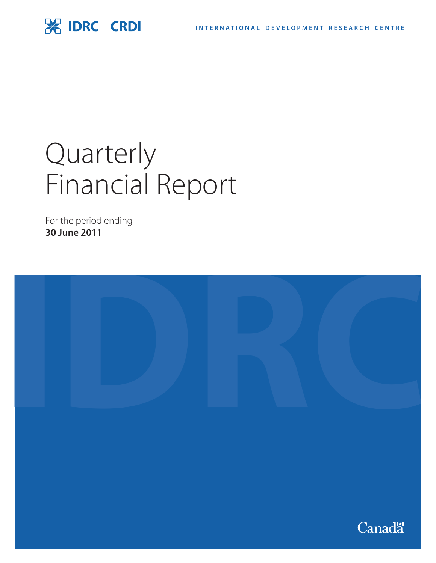# **SK IDRC | CRDI**

# Quarterly Financial Report

For the period ending **30 June 2011**

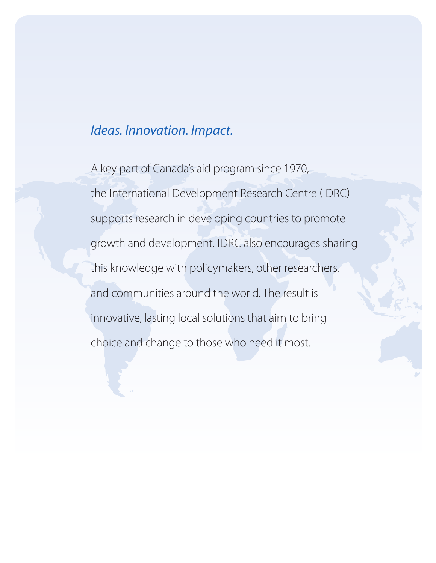# *Ideas. Innovation. Impact.*

A key part of Canada's aid program since 1970, the International Development Research Centre (IDRC) supports research in developing countries to promote growth and development. IDRC also encourages sharing this knowledge with policymakers, other researchers, and communities around the world. The result is innovative, lasting local solutions that aim to bring choice and change to those who need it most.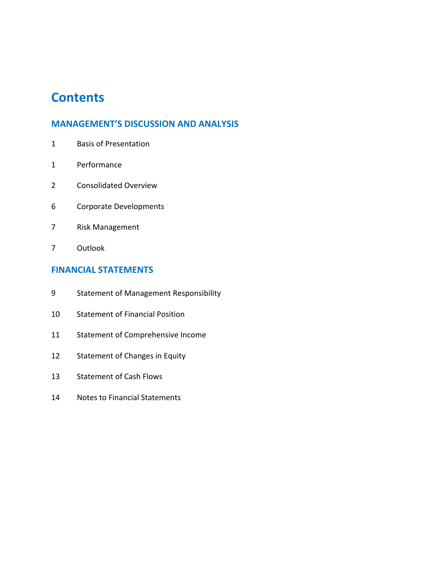# **Contents**

# **MANAGEMENT'S DISCUSSION AND ANALYSIS**

- Basis of Presentation
- Performance
- Consolidated Overview
- Corporate Developments
- Risk Management
- Outlook

### **FINANCIAL STATEMENTS**

- Statement of Management Responsibility
- Statement of Financial Position
- Statement of Comprehensive Income
- Statement of Changes in Equity
- Statement of Cash Flows
- Notes to Financial Statements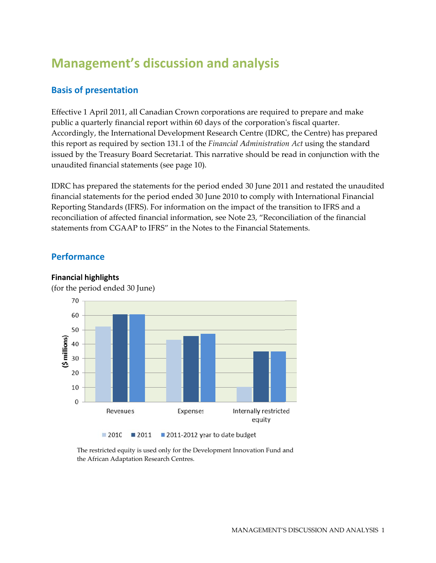# **Management's discussion and analysis**

# **Basis of presentation**

Effective 1 April 2011, all Canadian Crown corporations are required to prepare and make public a quarterly financial report within 60 days of the corporation's fiscal quarter. Accordingly, the International Development Research Centre (IDRC, the Centre) has prepared this report as required by section 131.1 of the Financial Administration Act using the standard issued by the Treasury Board Secretariat. This narrative should be read in conjunction with the unaudited financial statements (see page 10).

IDRC has prepared the statements for the period ended 30 June 2011 and restated the unaudited financial statements for the period ended 30 June 2010 to comply with International Financial Reporting Standards (IFRS). For information on the impact of the transition to IFRS and a reconciliation of affected financial information, see Note 23, "Reconciliation of the financial statements from CGAAP to IFRS" in the Notes to the Financial Statements.

# **Performance**



**Financial highlights** (for the period ended 30 June)

> The restricted equity is used only for the Development Innovation Fund and the African Adaptation Research Centres.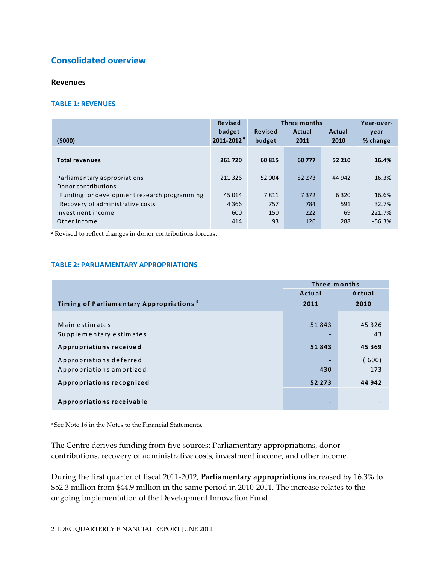# **Consolidated overview**

#### **Revenues**

#### **TABLE 1: REVENUES**

|        |                                                                   | Year-over- |
|--------|-------------------------------------------------------------------|------------|
| Actual | Actual                                                            | year       |
| 2011   | 2010                                                              | % change   |
|        |                                                                   |            |
| 60777  | 52 210                                                            | 16.4%      |
|        |                                                                   |            |
| 52 273 | 44 942                                                            | 16.3%      |
|        |                                                                   |            |
| 7372   | 6320                                                              | 16.6%      |
| 784    | 591                                                               | 32.7%      |
| 222    | 69                                                                | 221.7%     |
| 126    | 288                                                               | $-56.3%$   |
|        | Revised<br>budget<br>60 815<br>52 004<br>7811<br>757<br>150<br>93 |            |

**<sup>a</sup>** Revised to reflect changes in donor contributions forecast.

#### **TABLE 2: PARLIAMENTARY APPROPRIATIONS**

|                                                     | Three months |        |  |
|-----------------------------------------------------|--------------|--------|--|
|                                                     | Actual       | Actual |  |
| Timing of Parliamentary Appropriations <sup>a</sup> | 2011         | 2010   |  |
|                                                     |              |        |  |
| Main estimates                                      | 51843        | 45 326 |  |
| Supplementary estimates                             |              | 43     |  |
| Appropriations received                             | 51843        | 45 369 |  |
| Appropriations deferred                             |              | (600)  |  |
| Appropriations amortized                            | 430          | 173    |  |
| Appropriations recognized                           | 52 273       | 44 942 |  |
|                                                     |              |        |  |
| Appropriations receivable                           |              |        |  |

<sup>a</sup> See Note 16 in the Notes to the Financial Statements.

The Centre derives funding from five sources: Parliamentary appropriations, donor contributions, recovery of administrative costs, investment income, and other income.

During the first quarter of fiscal 2011‐2012, **Parliamentary appropriations** increased by 16.3% to \$52.3 million from \$44.9 million in the same period in 2010‐2011. The increase relates to the ongoing implementation of the Development Innovation Fund.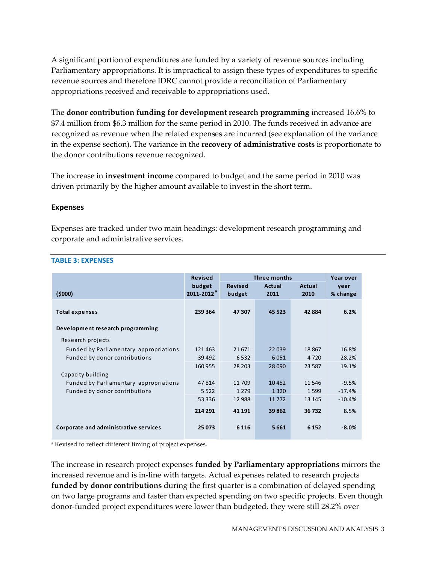A significant portion of expenditures are funded by a variety of revenue sources including Parliamentary appropriations. It is impractical to assign these types of expenditures to specific revenue sources and therefore IDRC cannot provide a reconciliation of Parliamentary appropriations received and receivable to appropriations used.

The **donor contribution funding for development research programming** increased 16.6% to \$7.4 million from \$6.3 million for the same period in 2010. The funds received in advance are recognized as revenue when the related expenses are incurred (see explanation of the variance in the expense section). The variance in the **recovery of administrative costs** is proportionate to the donor contributions revenue recognized.

The increase in **investment income** compared to budget and the same period in 2010 was driven primarily by the higher amount available to invest in the short term.

#### **Expenses**

Expenses are tracked under two main headings: development research programming and corporate and administrative services.

|                                        | <b>Revised</b>            |                          | Three months   |                | Year over        |
|----------------------------------------|---------------------------|--------------------------|----------------|----------------|------------------|
| (5000)                                 | budget<br>$2011 - 2012^a$ | <b>Revised</b><br>budget | Actual<br>2011 | Actual<br>2010 | year<br>% change |
| <b>Total expenses</b>                  | 239 364                   | 47 307                   | 45 5 23        | 42884          | 6.2%             |
| Development research programming       |                           |                          |                |                |                  |
| Research projects                      |                           |                          |                |                |                  |
| Funded by Parliamentary appropriations | 121 463                   | 21671                    | 22039          | 18867          | 16.8%            |
| Funded by donor contributions          | 39 4 92                   | 6532                     | 6051           | 4 7 2 0        | 28.2%            |
|                                        | 160 955                   | 28 20 3                  | 28 0 90        | 23 5 8 7       | 19.1%            |
| Capacity building                      |                           |                          |                |                |                  |
| Funded by Parliamentary appropriations | 47814                     | 11 709                   | 10452          | 11 546         | $-9.5%$          |
| Funded by donor contributions          | 5 5 2 2                   | 1 2 7 9                  | 1 3 2 0        | 1599           | $-17.4%$         |
|                                        | 53 336                    | 12 988                   | 11772          | 13 145         | $-10.4%$         |
|                                        | 214 291                   | 41 191                   | 39 862         | 36732          | 8.5%             |
| Corporate and administrative services  | 25 073                    | 6 1 1 6                  | 5661           | 6 1 5 2        | $-8.0%$          |

#### **TABLE 3: EXPENSES**

<sup>a</sup> Revised to reflect different timing of project expenses.

The increase in research project expenses **funded by Parliamentary appropriations** mirrors the increased revenue and is in‐line with targets. Actual expenses related to research projects **funded by donor contributions** during the first quarter is a combination of delayed spending on two large programs and faster than expected spending on two specific projects. Even though donor‐funded project expenditures were lower than budgeted, they were still 28.2% over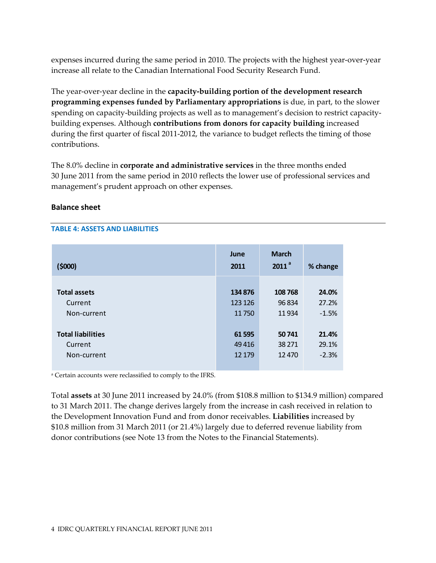expenses incurred during the same period in 2010. The projects with the highest year-over-year increase all relate to the Canadian International Food Security Research Fund.

The year‐over‐year decline in the **capacity‐building portion of the development research programming expenses funded by Parliamentary appropriations** is due, in part, to the slower spending on capacity-building projects as well as to management's decision to restrict capacitybuilding expenses. Although **contributions from donors for capacity building** increased during the first quarter of fiscal 2011‐2012, the variance to budget reflects the timing of those contributions.

The 8.0% decline in **corporate and administrative services** in the three months ended 30 June 2011 from the same period in 2010 reflects the lower use of professional services and management's prudent approach on other expenses.

#### **Balance sheet**

#### **TABLE 4: ASSETS AND LIABILITIES**

| (5000)                   | June<br>2011 | <b>March</b><br>2011 <sup>a</sup> | % change |
|--------------------------|--------------|-----------------------------------|----------|
| <b>Total assets</b>      | 134 876      | 108768                            | 24.0%    |
| Current                  | 123 126      | 96834                             | 27.2%    |
| Non-current              | 11750        | 11934                             | $-1.5%$  |
| <b>Total liabilities</b> | 61 595       | 50741                             | 21.4%    |
| Current                  | 49416        | 38 271                            | 29.1%    |
| Non-current              | 12 179       | 12 4 70                           | $-2.3%$  |

<sup>a</sup> Certain accounts were reclassified to comply to the IFRS.

Total **assets** at 30 June 2011 increased by 24.0% (from \$108.8 million to \$134.9 million) compared to 31 March 2011. The change derives largely from the increase in cash received in relation to the Development Innovation Fund and from donor receivables. **Liabilities** increased by \$10.8 million from 31 March 2011 (or 21.4%) largely due to deferred revenue liability from donor contributions (see Note 13 from the Notes to the Financial Statements).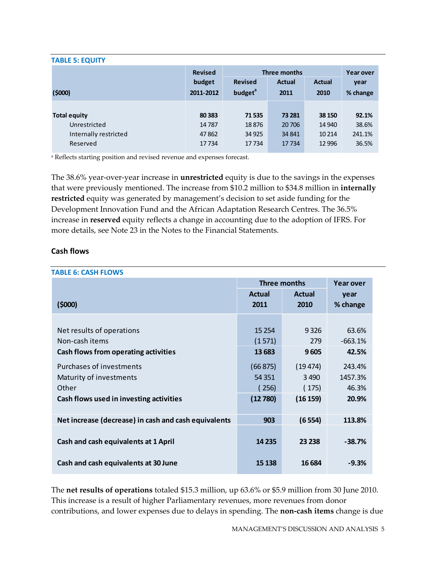#### **TABLE 5: EQUITY**

|                       | <b>Revised</b> |                     | Three months  |               | <b>Year over</b> |
|-----------------------|----------------|---------------------|---------------|---------------|------------------|
|                       | budget         | <b>Revised</b>      | <b>Actual</b> | <b>Actual</b> | year             |
| (5000)                | 2011-2012      | budget <sup>a</sup> | 2011          | 2010          | % change         |
|                       |                |                     |               |               |                  |
| <b>Total equity</b>   | 80 3 83        | 71535               | 73 281        | 38 150        | 92.1%            |
| Unrestricted          | 14787          | 18876               | 20 70 6       | 14 940        | 38.6%            |
| Internally restricted | 47862          | 34 9 25             | 34 841        | 10 2 14       | 241.1%           |
| Reserved              | 17734          | 17734               | 17734         | 12 9 96       | 36.5%            |

<sup>a</sup> Reflects starting position and revised revenue and expenses forecast.

The 38.6% year‐over‐year increase in **unrestricted** equity is due to the savings in the expenses that were previously mentioned. The increase from \$10.2 million to \$34.8 million in **internally restricted** equity was generated by management's decision to set aside funding for the Development Innovation Fund and the African Adaptation Research Centres. The 36.5% increase in **reserved** equity reflects a change in accounting due to the adoption of IFRS. For more details, see Note 23 in the Notes to the Financial Statements.

#### **Cash flows**

| <b>TABLE 6: CASH FLOWS</b>                           |                     |                  |           |
|------------------------------------------------------|---------------------|------------------|-----------|
|                                                      | <b>Three months</b> | <b>Year over</b> |           |
|                                                      | <b>Actual</b>       | <b>Actual</b>    | year      |
| (5000)                                               | 2011                | 2010             | % change  |
|                                                      |                     |                  |           |
| Net results of operations                            | 15 2 54             | 9326             | 63.6%     |
| Non-cash items                                       | (1571)              | 279              | $-663.1%$ |
| Cash flows from operating activities                 | 13 683              | 9605             | 42.5%     |
| Purchases of investments                             | (66 875)            | (19474)          | 243.4%    |
| Maturity of investments                              | 54 3 51             | 3490             | 1457.3%   |
| Other                                                | 256)                | (175)            | 46.3%     |
| Cash flows used in investing activities              | (12780)             | (16159)          | 20.9%     |
|                                                      |                     |                  |           |
| Net increase (decrease) in cash and cash equivalents | 903                 | (6554)           | 113.8%    |
|                                                      |                     |                  |           |
| Cash and cash equivalents at 1 April                 | 14 2 35             | 23 238           | $-38.7%$  |
|                                                      |                     |                  |           |
| Cash and cash equivalents at 30 June                 | 15 138              | 16 6 84          | $-9.3%$   |
|                                                      |                     |                  |           |

The **net results of operations** totaled \$15.3 million, up 63.6% or \$5.9 million from 30 June 2010. This increase is a result of higher Parliamentary revenues, more revenues from donor contributions, and lower expenses due to delays in spending. The **non‐cash items** change is due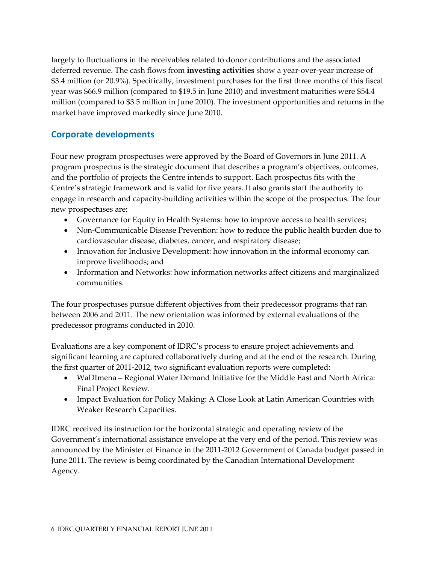largely to fluctuations in the receivables related to donor contributions and the associated deferred revenue. The cash flows from **investing activities** show a year‐over‐year increase of \$3.4 million (or 20.9%). Specifically, investment purchases for the first three months of this fiscal year was \$66.9 million (compared to \$19.5 in June 2010) and investment maturities were \$54.4 million (compared to \$3.5 million in June 2010). The investment opportunities and returns in the market have improved markedly since June 2010.

# **Corporate developments**

Four new program prospectuses were approved by the Board of Governors in June 2011. A program prospectus is the strategic document that describes a program's objectives, outcomes, and the portfolio of projects the Centre intends to support. Each prospectus fits with the Centre's strategic framework and is valid for five years. It also grants staff the authority to engage in research and capacity‐building activities within the scope of the prospectus. The four new prospectuses are:

- Governance for Equity in Health Systems: how to improve access to health services;
- Non-Communicable Disease Prevention: how to reduce the public health burden due to cardiovascular disease, diabetes, cancer, and respiratory disease;
- Innovation for Inclusive Development: how innovation in the informal economy can improve livelihoods; and
- Information and Networks: how information networks affect citizens and marginalized communities.

The four prospectuses pursue different objectives from their predecessor programs that ran between 2006 and 2011. The new orientation was informed by external evaluations of the predecessor programs conducted in 2010.

Evaluations are a key component of IDRC's process to ensure project achievements and significant learning are captured collaboratively during and at the end of the research. During the first quarter of 2011‐2012, two significant evaluation reports were completed:

- WaDImena Regional Water Demand Initiative for the Middle East and North Africa: Final Project Review.
- Impact Evaluation for Policy Making: A Close Look at Latin American Countries with Weaker Research Capacities.

IDRC received its instruction for the horizontal strategic and operating review of the Government's international assistance envelope at the very end of the period. This review was announced by the Minister of Finance in the 2011‐2012 Government of Canada budget passed in June 2011. The review is being coordinated by the Canadian International Development Agency.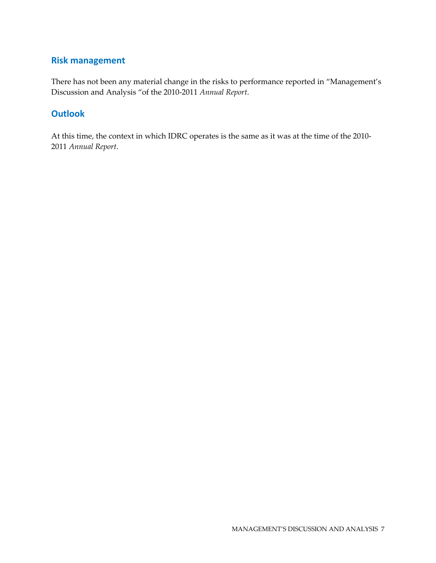# **Risk management**

There has not been any material change in the risks to performance reported in "Management's Discussion and Analysis "of the 2010‐2011 *Annual Report*.

# **Outlook**

At this time, the context in which IDRC operates is the same as it was at the time of the 2010‐ 2011 *Annual Report*.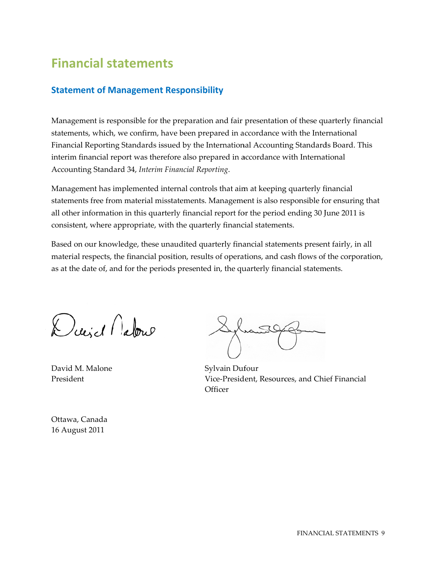# **Financial statements**

# **Statement of Management Responsibility**

Management is responsible for the preparation and fair presentation of these quarterly financial statements, which, we confirm, have been prepared in accordance with the International Financial Reporting Standards issued by the International Accounting Standards Board. This interim financial report was therefore also prepared in accordance with International Accounti ing Standard d 34, *Interim Financial Re eporting*.

Management has implemented internal controls that aim at keeping quarterly financial statements free from material misstatements. Management is also responsible for ensuring that all other information in this quarterly financial report for the period ending 30 June 2011 is consistent, where appropriate, with the quarterly financial statements.

Based on our knowledge, these unaudited quarterly financial statements present fairly, in all material respects, the financial position, results of operations, and cash flows of the corporation, as at the date of, and for the periods presented in, the quarterly financial statements.

Dieid Natore

David M M. Malone President

Sylvain Dufour Vice-President, Resources, and Chief Financial **Officer** 

Ottawa, C Canada 16 August 2011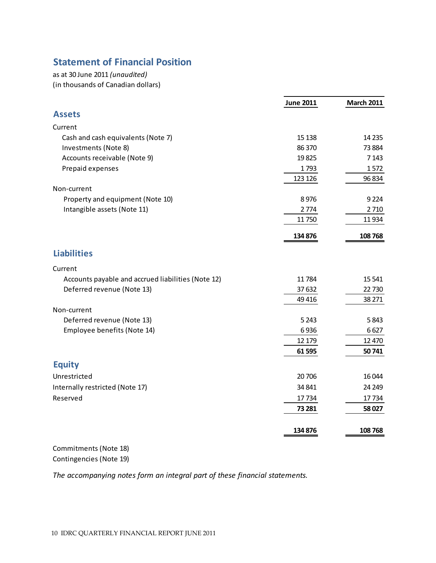# **Statement of Financial Position**

as at 30 June 2011 *(unaudited)* (in thousands of Canadian dollars)

| <b>Assets</b><br>Current<br>Cash and cash equivalents (Note 7)<br>15 1 38<br>Investments (Note 8)<br>86 370<br>Accounts receivable (Note 9)<br>19825<br>Prepaid expenses<br>1793<br>123 126<br>Non-current<br>Property and equipment (Note 10)<br>8976<br>Intangible assets (Note 11)<br>2774<br>11750<br>134 876 |         |
|-------------------------------------------------------------------------------------------------------------------------------------------------------------------------------------------------------------------------------------------------------------------------------------------------------------------|---------|
|                                                                                                                                                                                                                                                                                                                   |         |
|                                                                                                                                                                                                                                                                                                                   |         |
|                                                                                                                                                                                                                                                                                                                   | 14 2 35 |
|                                                                                                                                                                                                                                                                                                                   | 73884   |
|                                                                                                                                                                                                                                                                                                                   | 7 1 4 3 |
|                                                                                                                                                                                                                                                                                                                   | 1572    |
|                                                                                                                                                                                                                                                                                                                   | 96 834  |
|                                                                                                                                                                                                                                                                                                                   |         |
|                                                                                                                                                                                                                                                                                                                   | 9224    |
|                                                                                                                                                                                                                                                                                                                   | 2710    |
|                                                                                                                                                                                                                                                                                                                   | 11934   |
|                                                                                                                                                                                                                                                                                                                   | 108768  |
| <b>Liabilities</b>                                                                                                                                                                                                                                                                                                |         |
| Current                                                                                                                                                                                                                                                                                                           |         |
| Accounts payable and accrued liabilities (Note 12)<br>11784                                                                                                                                                                                                                                                       | 15 5 41 |
| Deferred revenue (Note 13)<br>37632                                                                                                                                                                                                                                                                               | 22730   |
| 49 4 16                                                                                                                                                                                                                                                                                                           | 38 271  |
| Non-current                                                                                                                                                                                                                                                                                                       |         |
| Deferred revenue (Note 13)<br>5 2 4 3                                                                                                                                                                                                                                                                             | 5843    |
| Employee benefits (Note 14)<br>6936                                                                                                                                                                                                                                                                               | 6627    |
| 12 179                                                                                                                                                                                                                                                                                                            | 12 4 70 |
| 61 595                                                                                                                                                                                                                                                                                                            | 50741   |
| <b>Equity</b>                                                                                                                                                                                                                                                                                                     |         |
| Unrestricted<br>20 70 6                                                                                                                                                                                                                                                                                           | 16044   |
| Internally restricted (Note 17)<br>34 841                                                                                                                                                                                                                                                                         | 24 24 9 |
| Reserved<br>17734                                                                                                                                                                                                                                                                                                 | 17734   |
| 73 281                                                                                                                                                                                                                                                                                                            | 58027   |
| 134 876<br>108768                                                                                                                                                                                                                                                                                                 |         |

Commitments (Note 18) Contingencies (Note 19)

*The accompanying notes form an integral part of these financial statements.*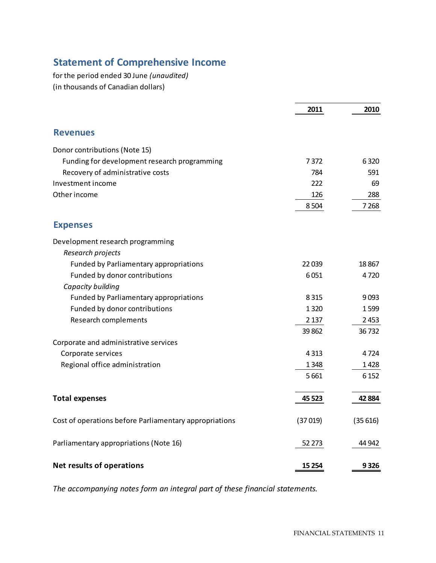# **Statement of Comprehensive Income**

for the period ended 30 June *(unaudited)* (in thousands of Canadian dollars)

|                                                        | 2011    | 2010    |
|--------------------------------------------------------|---------|---------|
| <b>Revenues</b>                                        |         |         |
| Donor contributions (Note 15)                          |         |         |
| Funding for development research programming           | 7372    | 6320    |
| Recovery of administrative costs                       | 784     | 591     |
| Investment income                                      | 222     | 69      |
| Other income                                           | 126     | 288     |
|                                                        | 8504    | 7 2 6 8 |
| <b>Expenses</b>                                        |         |         |
| Development research programming                       |         |         |
| Research projects                                      |         |         |
| Funded by Parliamentary appropriations                 | 22 0 39 | 18867   |
| Funded by donor contributions                          | 6051    | 4720    |
| Capacity building                                      |         |         |
| Funded by Parliamentary appropriations                 | 8315    | 9093    |
| Funded by donor contributions                          | 1 3 2 0 | 1599    |
| Research complements                                   | 2 1 3 7 | 2453    |
|                                                        | 39 862  | 36732   |
| Corporate and administrative services                  |         |         |
| Corporate services                                     | 4313    | 4724    |
| Regional office administration                         | 1348    | 1428    |
|                                                        | 5 6 6 1 | 6 1 5 2 |
| <b>Total expenses</b>                                  | 45 5 23 | 42 8 84 |
|                                                        |         |         |
| Cost of operations before Parliamentary appropriations | (37019) | (35616) |
| Parliamentary appropriations (Note 16)                 | 52 273  | 44 942  |
| <b>Net results of operations</b>                       | 15 2 54 | 9326    |

*The accompanying notes form an integral part of these financial statements.*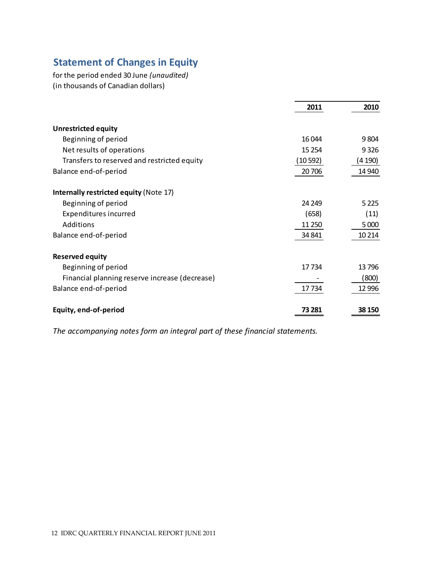# **Statement of Changes in Equity**

for the period ended 30 June *(unaudited)* (in thousands of Canadian dollars)

|                                                | 2011    | 2010    |
|------------------------------------------------|---------|---------|
| <b>Unrestricted equity</b>                     |         |         |
| Beginning of period                            | 16044   | 9804    |
| Net results of operations                      | 15 2 54 | 9326    |
| Transfers to reserved and restricted equity    | (10592) | (4 190) |
| Balance end-of-period                          | 20 70 6 | 14 940  |
| Internally restricted equity (Note 17)         |         |         |
| Beginning of period                            | 24 249  | 5 2 2 5 |
| Expenditures incurred                          | (658)   | (11)    |
| Additions                                      | 11 250  | 5 0 0 0 |
| Balance end-of-period                          | 34 841  | 10 214  |
| <b>Reserved equity</b>                         |         |         |
| Beginning of period                            | 17 734  | 13796   |
| Financial planning reserve increase (decrease) |         | (800)   |
| Balance end-of-period                          | 17734   | 12 9 96 |
| Equity, end-of-period                          | 73 281  | 38 150  |

*The accompanying notes form an integral part of these financial statements.*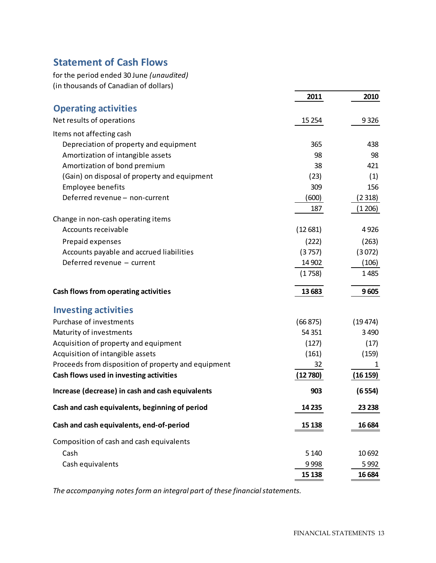# **Statement of Cash Flows**

for the period ended 30 June *(unaudited)* (in thousands of Canadian of dollars)

|                                                     | 2011     | 2010     |
|-----------------------------------------------------|----------|----------|
| <b>Operating activities</b>                         |          |          |
| Net results of operations                           | 15 254   | 9326     |
| Items not affecting cash                            |          |          |
| Depreciation of property and equipment              | 365      | 438      |
| Amortization of intangible assets                   | 98       | 98       |
| Amortization of bond premium                        | 38       | 421      |
| (Gain) on disposal of property and equipment        | (23)     | (1)      |
| <b>Employee benefits</b>                            | 309      | 156      |
| Deferred revenue - non-current                      | (600)    | (2318)   |
|                                                     | 187      | (1206)   |
| Change in non-cash operating items                  |          |          |
| Accounts receivable                                 | (12681)  | 4926     |
| Prepaid expenses                                    | (222)    | (263)    |
| Accounts payable and accrued liabilities            | (3757)   | (3072)   |
| Deferred revenue - current                          | 14 902   | (106)    |
|                                                     | (1758)   | 1485     |
| Cash flows from operating activities                | 13 683   | 9605     |
| <b>Investing activities</b>                         |          |          |
| Purchase of investments                             | (66 875) | (19474)  |
| Maturity of investments                             | 54 351   | 3 4 9 0  |
| Acquisition of property and equipment               | (127)    | (17)     |
| Acquisition of intangible assets                    | (161)    | (159)    |
| Proceeds from disposition of property and equipment | 32       | 1        |
| Cash flows used in investing activities             | (12780)  | (16 159) |
| Increase (decrease) in cash and cash equivalents    | 903      | (6554)   |
| Cash and cash equivalents, beginning of period      | 14 2 35  | 23 238   |
| Cash and cash equivalents, end-of-period            | 15 138   | 16 684   |
| Composition of cash and cash equivalents            |          |          |
| Cash                                                | 5 1 4 0  | 10 692   |
| Cash equivalents                                    | 9998     | 5992     |
|                                                     | 15 138   | 16 6 84  |

*The accompanying notes form an integral part of these financialstatements.*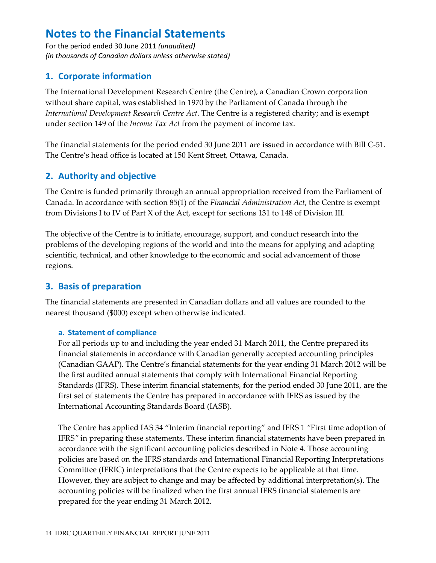For the period ended 30 June 2011 (unaudited) (in thousands of Canadian dollars unless otherwise stated)

# 1. Corporate information

The International Development Research Centre (the Centre), a Canadian Crown corporation without share capital, was established in 1970 by the Parliament of Canada through the International Development Research Centre Act. The Centre is a registered charity; and is exempt under section 149 of the *Income Tax Act* from the payment of income tax.

The financial statements for the period ended 30 June 2011 are issued in accordance with Bill C-51. The Centre's head office is located at 150 Kent Street, Ottawa, Canada.

# 2. Authority and objective

The Centre is funded primarily through an annual appropriation received from the Parliament of Canada. In accordance with section 85(1) of the *Financial Administration Act*, the Centre is exempt from Divisions I to IV of Part X of the Act, except for sections 131 to 148 of Division III.

The objective of the Centre is to initiate, encourage, support, and conduct research into the problems of the developing regions of the world and into the means for applying and adapting scientific, technical, and other knowledge to the economic and social advancement of those regions.

# 3. Basis of preparation

The financial statements are presented in Canadian dollars and all values are rounded to the nearest thousand (\$000) except when otherwise indicated.

### a. Statement of compliance

For all periods up to and including the year ended 31 March 2011, the Centre prepared its financial statements in accordance with Canadian generally accepted accounting principles (Canadian GAAP). The Centre's financial statements for the year ending 31 March 2012 will be the first audited annual statements that comply with International Financial Reporting Standards (IFRS). These interim financial statements, for the period ended 30 June 2011, are the first set of statements the Centre has prepared in accordance with IFRS as issued by the International Accounting Standards Board (IASB).

The Centre has applied IAS 34 "Interim financial reporting" and IFRS 1 "First time adoption of IFRS" in preparing these statements. These interim financial statements have been prepared in accordance with the significant accounting policies described in Note 4. Those accounting policies are based on the IFRS standards and International Financial Reporting Interpretations Committee (IFRIC) interpretations that the Centre expects to be applicable at that time. However, they are subject to change and may be affected by additional interpretation(s). The accounting policies will be finalized when the first annual IFRS financial statements are prepared for the year ending 31 March 2012.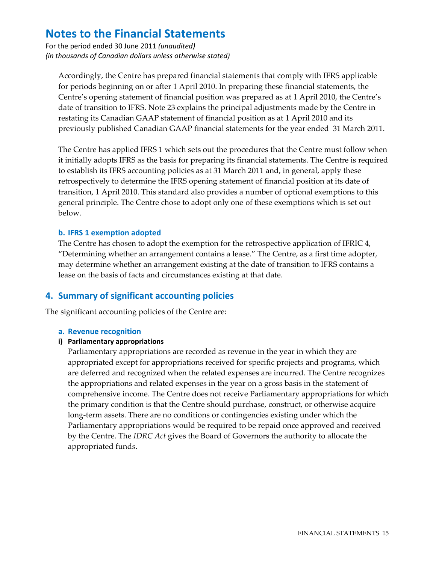For the period ended 30 June 2011 (unaudited) (in thousands of Canadian dollars unless otherwise stated)

Accordingly, the Centre has prepared financial statements that comply with IFRS applicable for periods beginning on or after 1 April 2010. In preparing these financial statements, the Centre's opening statement of financial position was prepared as at 1 April 2010, the Centre's date of transition to IFRS. Note 23 explains the principal adjustments made by the Centre in restating its Canadian GAAP statement of financial position as at 1 April 2010 and its previously published Canadian GAAP financial statements for the year ended 31 March 2011.

The Centre has applied IFRS 1 which sets out the procedures that the Centre must follow when it initially adopts IFRS as the basis for preparing its financial statements. The Centre is required to establish its IFRS accounting policies as at 31 March 2011 and, in general, apply these retrospectively to determine the IFRS opening statement of financial position at its date of transition, 1 April 2010. This standard also provides a number of optional exemptions to this general principle. The Centre chose to adopt only one of these exemptions which is set out helow

#### b. IFRS 1 exemption adopted

The Centre has chosen to adopt the exemption for the retrospective application of IFRIC 4, "Determining whether an arrangement contains a lease." The Centre, as a first time adopter, may determine whether an arrangement existing at the date of transition to IFRS contains a lease on the basis of facts and circumstances existing at that date.

# 4. Summary of significant accounting policies

The significant accounting policies of the Centre are:

#### a. Revenue recognition

#### i) Parliamentary appropriations

Parliamentary appropriations are recorded as revenue in the year in which they are appropriated except for appropriations received for specific projects and programs, which are deferred and recognized when the related expenses are incurred. The Centre recognizes the appropriations and related expenses in the year on a gross basis in the statement of comprehensive income. The Centre does not receive Parliamentary appropriations for which the primary condition is that the Centre should purchase, construct, or otherwise acquire long-term assets. There are no conditions or contingencies existing under which the Parliamentary appropriations would be required to be repaid once approved and received by the Centre. The *IDRC Act* gives the Board of Governors the authority to allocate the appropriated funds.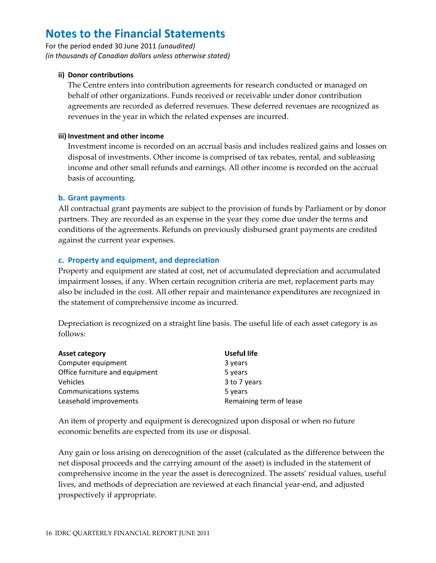For the period ended 30 June 2011 (unaudited) (in thousands of Canadian dollars unless otherwise stated)

#### ii) Donor contributions

The Centre enters into contribution agreements for research conducted or managed on behalf of other organizations. Funds received or receivable under donor contribution agreements are recorded as deferred revenues. These deferred revenues are recognized as revenues in the year in which the related expenses are incurred.

#### iii) Investment and other income

Investment income is recorded on an accrual basis and includes realized gains and losses on disposal of investments. Other income is comprised of tax rebates, rental, and subleasing income and other small refunds and earnings. All other income is recorded on the accrual basis of accounting.

### **b.** Grant payments

All contractual grant payments are subject to the provision of funds by Parliament or by donor partners. They are recorded as an expense in the year they come due under the terms and conditions of the agreements. Refunds on previously disbursed grant payments are credited against the current year expenses.

### c. Property and equipment, and depreciation

Property and equipment are stated at cost, net of accumulated depreciation and accumulated impairment losses, if any. When certain recognition criteria are met, replacement parts may also be included in the cost. All other repair and maintenance expenditures are recognized in the statement of comprehensive income as incurred.

Depreciation is recognized on a straight line basis. The useful life of each asset category is as  $follows$ 

| <b>Asset category</b>          | <b>Useful life</b>      |
|--------------------------------|-------------------------|
| Computer equipment             | 3 years                 |
| Office furniture and equipment | 5 years                 |
| Vehicles                       | 3 to 7 years            |
| Communications systems         | 5 years                 |
| Leasehold improvements         | Remaining term of lease |

An item of property and equipment is derecognized upon disposal or when no future economic benefits are expected from its use or disposal.

Any gain or loss arising on derecognition of the asset (calculated as the difference between the net disposal proceeds and the carrying amount of the asset) is included in the statement of comprehensive income in the year the asset is derecognized. The assets' residual values, useful lives, and methods of depreciation are reviewed at each financial year-end, and adjusted prospectively if appropriate.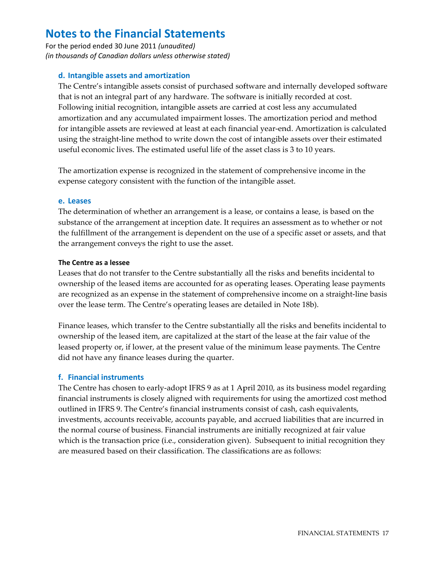For the period ended 30 June 2011 (unaudited) (in thousands of Canadian dollars unless otherwise stated)

### d. Intangible assets and amortization

The Centre's intangible assets consist of purchased software and internally developed software that is not an integral part of any hardware. The software is initially recorded at cost. Following initial recognition, intangible assets are carried at cost less any accumulated amortization and any accumulated impairment losses. The amortization period and method for intangible assets are reviewed at least at each financial year-end. Amortization is calculated using the straight-line method to write down the cost of intangible assets over their estimated useful economic lives. The estimated useful life of the asset class is 3 to 10 years.

The amortization expense is recognized in the statement of comprehensive income in the expense category consistent with the function of the intangible asset.

#### e. Leases

The determination of whether an arrangement is a lease, or contains a lease, is based on the substance of the arrangement at inception date. It requires an assessment as to whether or not the fulfillment of the arrangement is dependent on the use of a specific asset or assets, and that the arrangement conveys the right to use the asset.

#### The Centre as a lessee

Leases that do not transfer to the Centre substantially all the risks and benefits incidental to ownership of the leased items are accounted for as operating leases. Operating lease payments are recognized as an expense in the statement of comprehensive income on a straight-line basis over the lease term. The Centre's operating leases are detailed in Note 18b).

Finance leases, which transfer to the Centre substantially all the risks and benefits incidental to ownership of the leased item, are capitalized at the start of the lease at the fair value of the leased property or, if lower, at the present value of the minimum lease payments. The Centre did not have any finance leases during the quarter.

#### f. Financial instruments

The Centre has chosen to early-adopt IFRS 9 as at 1 April 2010, as its business model regarding financial instruments is closely aligned with requirements for using the amortized cost method outlined in IFRS 9. The Centre's financial instruments consist of cash, cash equivalents, investments, accounts receivable, accounts payable, and accrued liabilities that are incurred in the normal course of business. Financial instruments are initially recognized at fair value which is the transaction price (i.e., consideration given). Subsequent to initial recognition they are measured based on their classification. The classifications are as follows: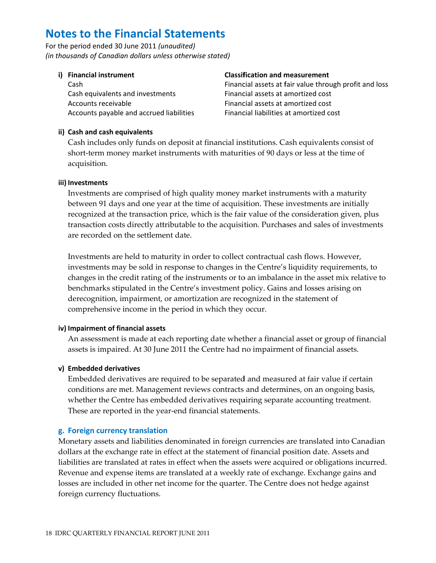For the period ended 30 June 2011 (unaudited) (in thousands of Canadian dollars unless otherwise stated)

i) Financial instrument

Cash Cash equivalents and investments Accounts receivable Accounts payable and accrued liabilities

#### **Classification and measurement**

Financial assets at fair value through profit and loss Financial assets at amortized cost Financial assets at amortized cost Financial liabilities at amortized cost

### ii) Cash and cash equivalents

Cash includes only funds on deposit at financial institutions. Cash equivalents consist of short-term money market instruments with maturities of 90 days or less at the time of acquisition.

#### iii) Investments

Investments are comprised of high quality money market instruments with a maturity between 91 days and one year at the time of acquisition. These investments are initially recognized at the transaction price, which is the fair value of the consideration given, plus transaction costs directly attributable to the acquisition. Purchases and sales of investments are recorded on the settlement date.

Investments are held to maturity in order to collect contractual cash flows. However, investments may be sold in response to changes in the Centre's liquidity requirements, to changes in the credit rating of the instruments or to an imbalance in the asset mix relative to benchmarks stipulated in the Centre's investment policy. Gains and losses arising on derecognition, impairment, or amortization are recognized in the statement of comprehensive income in the period in which they occur.

### iv) Impairment of financial assets

An assessment is made at each reporting date whether a financial asset or group of financial assets is impaired. At 30 June 2011 the Centre had no impairment of financial assets.

### v) Embedded derivatives

Embedded derivatives are required to be separated and measured at fair value if certain conditions are met. Management reviews contracts and determines, on an ongoing basis, whether the Centre has embedded derivatives requiring separate accounting treatment. These are reported in the year-end financial statements.

### g. Foreign currency translation

Monetary assets and liabilities denominated in foreign currencies are translated into Canadian dollars at the exchange rate in effect at the statement of financial position date. Assets and liabilities are translated at rates in effect when the assets were acquired or obligations incurred. Revenue and expense items are translated at a weekly rate of exchange. Exchange gains and losses are included in other net income for the quarter. The Centre does not hedge against foreign currency fluctuations.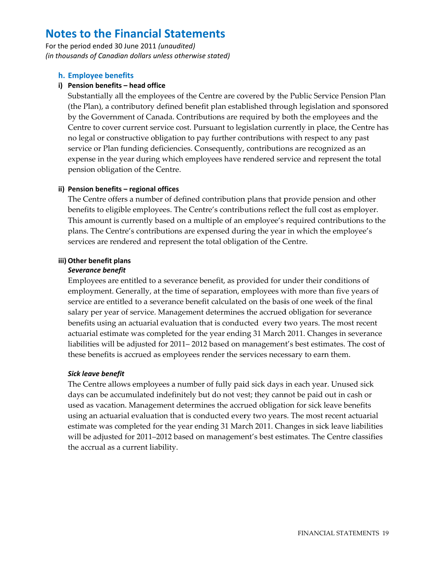For the period ended 30 June 2011 (unaudited) (in thousands of Canadian dollars unless otherwise stated)

#### h. Employee benefits

#### i) Pension benefits - head office

Substantially all the employees of the Centre are covered by the Public Service Pension Plan (the Plan), a contributory defined benefit plan established through legislation and sponsored by the Government of Canada. Contributions are required by both the employees and the Centre to cover current service cost. Pursuant to legislation currently in place, the Centre has no legal or constructive obligation to pay further contributions with respect to any past service or Plan funding deficiencies. Consequently, contributions are recognized as an expense in the year during which employees have rendered service and represent the total pension obligation of the Centre.

#### ii) Pension benefits – regional offices

The Centre offers a number of defined contribution plans that provide pension and other benefits to eligible employees. The Centre's contributions reflect the full cost as employer. This amount is currently based on a multiple of an employee's required contributions to the plans. The Centre's contributions are expensed during the year in which the employee's services are rendered and represent the total obligation of the Centre.

#### iii) Other benefit plans

#### Severance benefit

Employees are entitled to a severance benefit, as provided for under their conditions of employment. Generally, at the time of separation, employees with more than five years of service are entitled to a severance benefit calculated on the basis of one week of the final salary per year of service. Management determines the accrued obligation for severance benefits using an actuarial evaluation that is conducted every two years. The most recent actuarial estimate was completed for the year ending 31 March 2011. Changes in severance liabilities will be adjusted for 2011–2012 based on management's best estimates. The cost of these benefits is accrued as employees render the services necessary to earn them.

#### **Sick leave benefit**

The Centre allows employees a number of fully paid sick days in each year. Unused sick days can be accumulated indefinitely but do not vest; they cannot be paid out in cash or used as vacation. Management determines the accrued obligation for sick leave benefits using an actuarial evaluation that is conducted every two years. The most recent actuarial estimate was completed for the year ending 31 March 2011. Changes in sick leave liabilities will be adjusted for 2011–2012 based on management's best estimates. The Centre classifies the accrual as a current liability.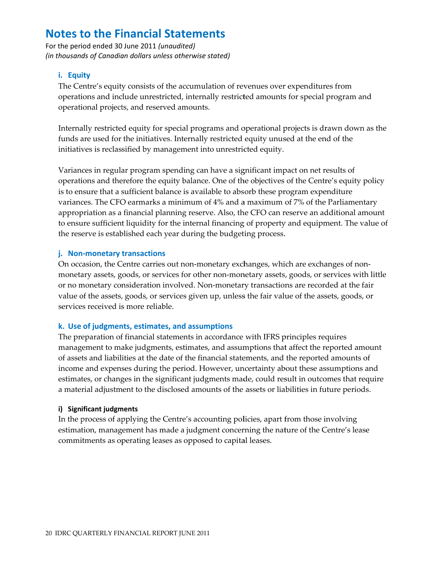For the period ended 30 June 2011 (unaudited) (in thousands of Canadian dollars unless otherwise stated)

### i. Equity

The Centre's equity consists of the accumulation of revenues over expenditures from operations and include unrestricted, internally restricted amounts for special program and operational projects, and reserved amounts.

Internally restricted equity for special programs and operational projects is drawn down as the funds are used for the initiatives. Internally restricted equity unused at the end of the initiatives is reclassified by management into unrestricted equity.

Variances in regular program spending can have a significant impact on net results of operations and therefore the equity balance. One of the objectives of the Centre's equity policy is to ensure that a sufficient balance is available to absorb these program expenditure variances. The CFO earmarks a minimum of 4% and a maximum of 7% of the Parliamentary appropriation as a financial planning reserve. Also, the CFO can reserve an additional amount to ensure sufficient liquidity for the internal financing of property and equipment. The value of the reserve is established each year during the budgeting process.

#### j. Non-monetary transactions

On occasion, the Centre carries out non-monetary exchanges, which are exchanges of nonmonetary assets, goods, or services for other non-monetary assets, goods, or services with little or no monetary consideration involved. Non-monetary transactions are recorded at the fair value of the assets, goods, or services given up, unless the fair value of the assets, goods, or services received is more reliable.

### k. Use of judgments, estimates, and assumptions

The preparation of financial statements in accordance with IFRS principles requires management to make judgments, estimates, and assumptions that affect the reported amount of assets and liabilities at the date of the financial statements, and the reported amounts of income and expenses during the period. However, uncertainty about these assumptions and estimates, or changes in the significant judgments made, could result in outcomes that require a material adjustment to the disclosed amounts of the assets or liabilities in future periods.

#### i) Significant judgments

In the process of applying the Centre's accounting policies, apart from those involving estimation, management has made a judgment concerning the nature of the Centre's lease commitments as operating leases as opposed to capital leases.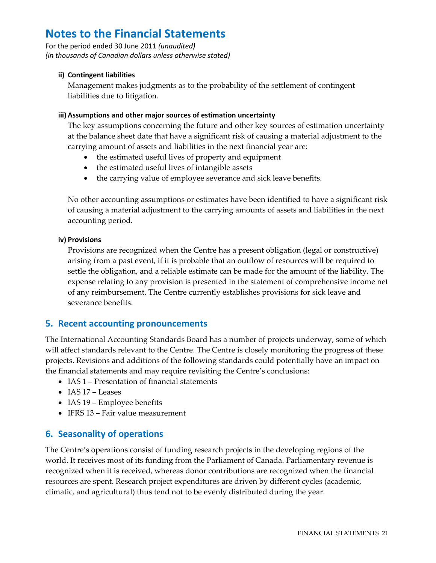For the period ended 30 June 2011 *(unaudited) (in thousands of Canadian dollars unless otherwise stated)*

### **ii) Contingent liabilities**

Management makes judgments as to the probability of the settlement of contingent liabilities due to litigation.

### **iii) Assumptions and other major sources of estimation uncertainty**

The key assumptions concerning the future and other key sources of estimation uncertainty at the balance sheet date that have a significant risk of causing a material adjustment to the carrying amount of assets and liabilities in the next financial year are:

- the estimated useful lives of property and equipment
- the estimated useful lives of intangible assets
- the carrying value of employee severance and sick leave benefits.

No other accounting assumptions or estimates have been identified to have a significant risk of causing a material adjustment to the carrying amounts of assets and liabilities in the next accounting period.

### **iv) Provisions**

Provisions are recognized when the Centre has a present obligation (legal or constructive) arising from a past event, if it is probable that an outflow of resources will be required to settle the obligation, and a reliable estimate can be made for the amount of the liability. The expense relating to any provision is presented in the statement of comprehensive income net of any reimbursement. The Centre currently establishes provisions for sick leave and severance benefits.

# **5. Recent accounting pronouncements**

The International Accounting Standards Board has a number of projects underway, some of which will affect standards relevant to the Centre. The Centre is closely monitoring the progress of these projects. Revisions and additions of the following standards could potentially have an impact on the financial statements and may require revisiting the Centre's conclusions:

- IAS 1 Presentation of financial statements
- $\bullet$  IAS 17 Leases
- IAS 19 Employee benefits
- IFRS 13 Fair value measurement

# **6. Seasonality of operations**

The Centre's operations consist of funding research projects in the developing regions of the world. It receives most of its funding from the Parliament of Canada. Parliamentary revenue is recognized when it is received, whereas donor contributions are recognized when the financial resources are spent. Research project expenditures are driven by different cycles (academic, climatic, and agricultural) thus tend not to be evenly distributed during the year.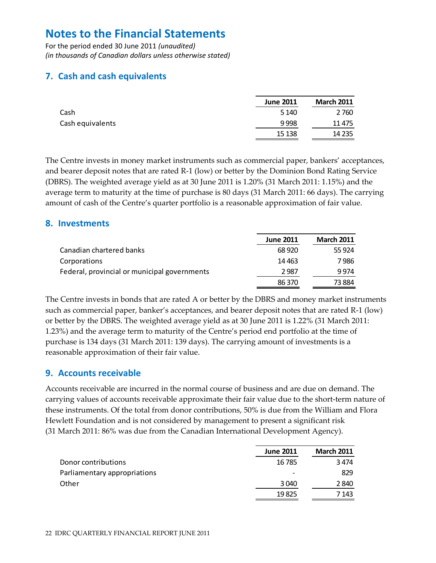For the period ended 30 June 2011 *(unaudited) (in thousands of Canadian dollars unless otherwise stated)*

# **7. Cash and cash equivalents**

|                  | <b>June 2011</b> | <b>March 2011</b> |
|------------------|------------------|-------------------|
| Cash             | 5 1 4 0          | 2760              |
| Cash equivalents | 9998             | 11 4 7 5          |
|                  | 15 138           | 14 2 35           |

The Centre invests in money market instruments such as commercial paper, bankers' acceptances, and bearer deposit notes that are rated R‐1 (low) or better by the Dominion Bond Rating Service (DBRS). The weighted average yield as at 30 June 2011 is 1.20% (31 March 2011: 1.15%) and the average term to maturity at the time of purchase is 80 days (31 March 2011: 66 days). The carrying amount of cash of the Centre's quarter portfolio is a reasonable approximation of fair value.

# **8. Investments**

|                                              | <b>June 2011</b> | <b>March 2011</b> |
|----------------------------------------------|------------------|-------------------|
| Canadian chartered banks                     | 68 9 20          | 55 9 24           |
| Corporations                                 | 14 4 63          | 7 986             |
| Federal, provincial or municipal governments | 2987             | 9974              |
|                                              | 86 370           | 73884             |

The Centre invests in bonds that are rated A or better by the DBRS and money market instruments such as commercial paper, banker's acceptances, and bearer deposit notes that are rated R-1 (low) or better by the DBRS. The weighted average yield as at 30 June 2011 is 1.22% (31 March 2011: 1.23%) and the average term to maturity of the Centre's period end portfolio at the time of purchase is 134 days (31 March 2011: 139 days). The carrying amount of investments is a reasonable approximation of their fair value.

### **9. Accounts receivable**

Accounts receivable are incurred in the normal course of business and are due on demand. The carrying values of accounts receivable approximate their fair value due to the short-term nature of these instruments. Of the total from donor contributions, 50% is due from the William and Flora Hewlett Foundation and is not considered by management to present a significant risk (31 March 2011: 86% was due from the Canadian International Development Agency).

|                              | <b>June 2011</b>         | <b>March 2011</b> |
|------------------------------|--------------------------|-------------------|
| Donor contributions          | 16785                    | 3474              |
| Parliamentary appropriations | $\overline{\phantom{0}}$ | 829               |
| Other                        | 3040                     | 2840              |
|                              | 19825                    | 7 143             |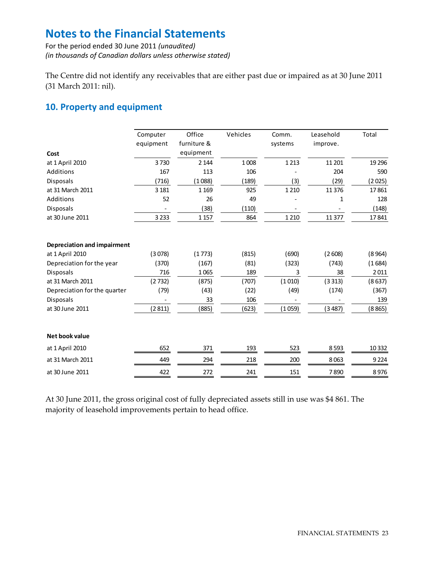For the period ended 30 June 2011 *(unaudited) (in thousands of Canadian dollars unless otherwise stated)*

The Centre did not identify any receivables that are either past due or impaired as at 30 June 2011 (31 March 2011: nil).

# **10. Property and equipment**

| Cost                               | Computer<br>equipment | Office<br>furniture &<br>equipment | Vehicles | Comm.<br>systems | Leasehold<br>improve. | Total    |
|------------------------------------|-----------------------|------------------------------------|----------|------------------|-----------------------|----------|
|                                    |                       |                                    |          |                  |                       |          |
| at 1 April 2010                    | 3730                  | 2 1 4 4                            | 1008     | 1 2 1 3          | 11 201                | 19 2 9 6 |
| Additions                          | 167                   | 113                                | 106      |                  | 204                   | 590      |
| <b>Disposals</b>                   | (716)                 | (1088)                             | (189)    | (3)              | (29)                  | (2025)   |
| at 31 March 2011                   | 3 1 8 1               | 1 1 6 9                            | 925      | 1 2 1 0          | 11 3 7 6              | 17861    |
| Additions                          | 52                    | 26                                 | 49       |                  | 1                     | 128      |
| Disposals                          |                       | (38)                               | (110)    |                  |                       | (148)    |
| at 30 June 2011                    | 3 2 3 3               | 1 1 5 7                            | 864      | 1 2 1 0          | 11 377                | 17841    |
| <b>Depreciation and impairment</b> |                       |                                    |          |                  |                       |          |
| at 1 April 2010                    | (3078)                | (1773)                             | (815)    | (690)            | (2608)                | (8964)   |
| Depreciation for the year          | (370)                 | (167)                              | (81)     | (323)            | (743)                 | (1684)   |
| <b>Disposals</b>                   | 716                   | 1065                               | 189      | 3                | 38                    | 2011     |
| at 31 March 2011                   | (2732)                | (875)                              | (707)    | (1010)           | (3313)                | (8637)   |
| Depreciation for the quarter       | (79)                  | (43)                               | (22)     | (49)             | (174)                 | (367)    |
| <b>Disposals</b>                   |                       | 33                                 | 106      |                  |                       | 139      |
| at 30 June 2011                    | (2811)                | (885)                              | (623)    | (1059)           | (3487)                | (8865)   |
| Net book value                     |                       |                                    |          |                  |                       |          |
| at 1 April 2010                    | 652                   | 371                                | 193      | 523              | 8593                  | 10 3 32  |
| at 31 March 2011                   | 449                   | 294                                | 218      | 200              | 8063                  | 9224     |
| at 30 June 2011                    | 422                   | 272                                | 241      | 151              | 7890                  | 8976     |

At 30 June 2011, the gross original cost of fully depreciated assets still in use was \$4 861. The majority of leasehold improvements pertain to head office.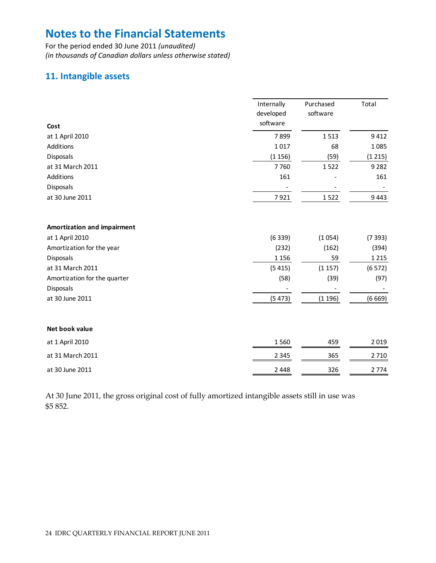For the period ended 30 June 2011 *(unaudited) (in thousands of Canadian dollars unless otherwise stated)*

# **11. Intangible assets**

| Cost                         | Internally<br>developed<br>software | Purchased<br>software | Total   |
|------------------------------|-------------------------------------|-----------------------|---------|
| at 1 April 2010              | 7899                                | 1513                  | 9412    |
| Additions                    | 1017                                | 68                    | 1085    |
| Disposals                    | (1156)                              | (59)                  | (1215)  |
| at 31 March 2011             | 7760                                | 1522                  | 9 2 8 2 |
| Additions                    | 161                                 |                       | 161     |
| Disposals                    |                                     |                       |         |
| at 30 June 2011              | 7921                                | 1522                  | 9443    |
| Amortization and impairment  |                                     |                       |         |
| at 1 April 2010              | (6339)                              | (1054)                | (7393)  |
| Amortization for the year    | (232)                               | (162)                 | (394)   |
| Disposals                    | 1 1 5 6                             | 59                    | 1 2 1 5 |
| at 31 March 2011             | (5415)                              | (1157)                | (6572)  |
| Amortization for the quarter | (58)                                | (39)                  | (97)    |
| Disposals                    |                                     |                       |         |
| at 30 June 2011              | (5473)                              | (1196)                | (6669)  |
| Net book value               |                                     |                       |         |
| at 1 April 2010              | 1560                                | 459                   | 2019    |
| at 31 March 2011             | 2 3 4 5                             | 365                   | 2710    |
| at 30 June 2011              | 2 4 4 8                             | 326                   | 2774    |

At 30 June 2011, the gross original cost of fully amortized intangible assets still in use was \$5 852.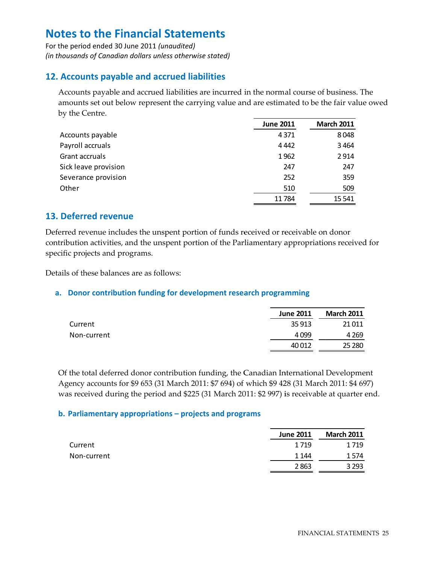For the period ended 30 June 2011 (unaudited) (in thousands of Canadian dollars unless otherwise stated)

# 12. Accounts payable and accrued liabilities

Accounts payable and accrued liabilities are incurred in the normal course of business. The amounts set out below represent the carrying value and are estimated to be the fair value owed by the Centre.

|                      | <b>June 2011</b> | <b>March 2011</b> |
|----------------------|------------------|-------------------|
| Accounts payable     | 4371             | 8048              |
| Payroll accruals     | 4 4 4 2          | 3464              |
| Grant accruals       | 1962             | 2914              |
| Sick leave provision | 247              | 247               |
| Severance provision  | 252              | 359               |
| Other                | 510              | 509               |
|                      | 11784            | 15 5 41           |

# 13. Deferred revenue

Deferred revenue includes the unspent portion of funds received or receivable on donor contribution activities, and the unspent portion of the Parliamentary appropriations received for specific projects and programs.

Details of these balances are as follows:

### a. Donor contribution funding for development research programming

|             | <b>June 2011</b> | <b>March 2011</b> |
|-------------|------------------|-------------------|
| Current     | 35 913           | 21 0 11           |
| Non-current | 4099             | 4 2 6 9           |
|             | 40 0 12          | 25 2 80           |

Of the total deferred donor contribution funding, the Canadian International Development Agency accounts for \$9 653 (31 March 2011: \$7 694) of which \$9 428 (31 March 2011: \$4 697) was received during the period and \$225 (31 March 2011: \$2 997) is receivable at quarter end.

### b. Parliamentary appropriations – projects and programs

|             | <b>June 2011</b> | <b>March 2011</b> |
|-------------|------------------|-------------------|
| Current     | 1719             | 1719              |
| Non-current | 1 1 4 4          | 1574              |
|             | 2863             | 3 2 9 3           |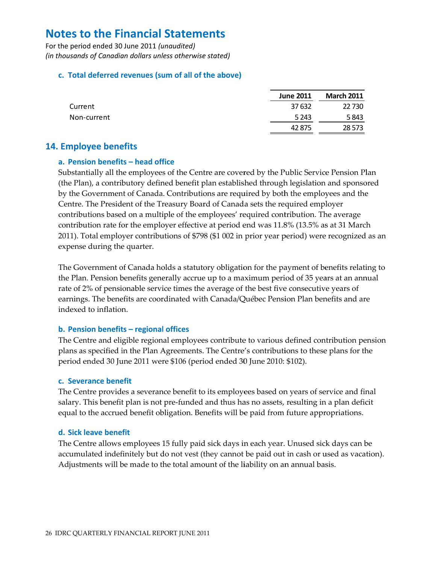For the period ended 30 June 2011 (unaudited) (in thousands of Canadian dollars unless otherwise stated)

### c. Total deferred revenues (sum of all of the above)

|             | <b>June 2011</b> | <b>March 2011</b> |
|-------------|------------------|-------------------|
| Current     | 37 632           | 22 730            |
| Non-current | 5 2 4 3          | 5843              |
|             | 42 875           | 28 5 73           |

### **14. Employee benefits**

### a. Pension benefits - head office

Substantially all the employees of the Centre are covered by the Public Service Pension Plan (the Plan), a contributory defined benefit plan established through legislation and sponsored by the Government of Canada. Contributions are required by both the employees and the Centre. The President of the Treasury Board of Canada sets the required employer contributions based on a multiple of the employees' required contribution. The average contribution rate for the employer effective at period end was 11.8% (13.5% as at 31 March 2011). Total employer contributions of \$798 (\$1 002 in prior year period) were recognized as an expense during the quarter.

The Government of Canada holds a statutory obligation for the payment of benefits relating to the Plan. Pension benefits generally accrue up to a maximum period of 35 years at an annual rate of 2% of pensionable service times the average of the best five consecutive years of earnings. The benefits are coordinated with Canada/Québec Pension Plan benefits and are indexed to inflation.

### b. Pension benefits - regional offices

The Centre and eligible regional employees contribute to various defined contribution pension plans as specified in the Plan Agreements. The Centre's contributions to these plans for the period ended 30 June 2011 were \$106 (period ended 30 June 2010: \$102).

### c. Severance benefit

The Centre provides a severance benefit to its employees based on years of service and final salary. This benefit plan is not pre-funded and thus has no assets, resulting in a plan deficit equal to the accrued benefit obligation. Benefits will be paid from future appropriations.

### d. Sick leave benefit

The Centre allows employees 15 fully paid sick days in each year. Unused sick days can be accumulated indefinitely but do not vest (they cannot be paid out in cash or used as vacation). Adjustments will be made to the total amount of the liability on an annual basis.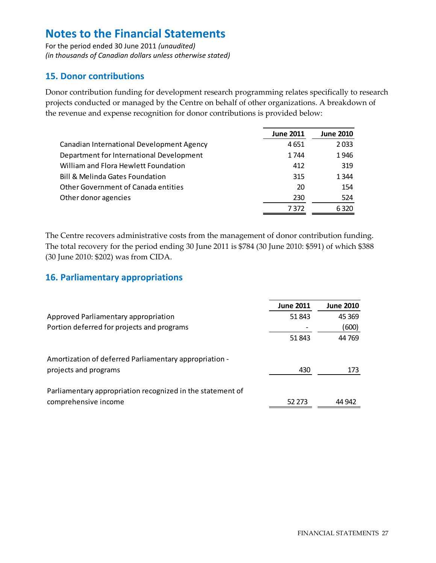For the period ended 30 June 2011 *(unaudited) (in thousands of Canadian dollars unless otherwise stated)*

# **15. Donor contributions**

Donor contribution funding for development research programming relates specifically to research projects conducted or managed by the Centre on behalf of other organizations. A breakdown of the revenue and expense recognition for donor contributions is provided below:

|                                            | <b>June 2011</b> | <b>June 2010</b> |
|--------------------------------------------|------------------|------------------|
| Canadian International Development Agency  | 4651             | 2033             |
| Department for International Development   | 1744             | 1946             |
| William and Flora Hewlett Foundation       | 412              | 319              |
| <b>Bill &amp; Melinda Gates Foundation</b> | 315              | 1 3 4 4          |
| <b>Other Government of Canada entities</b> | 20               | 154              |
| Other donor agencies                       | 230              | 524              |
|                                            | 7372             | 6320             |

The Centre recovers administrative costs from the management of donor contribution funding. The total recovery for the period ending 30 June 2011 is \$784 (30 June 2010: \$591) of which \$388 (30 June 2010: \$202) was from CIDA.

# **16. Parliamentary appropriations**

|                                                            | <b>June 2011</b> | <b>June 2010</b> |
|------------------------------------------------------------|------------------|------------------|
| Approved Parliamentary appropriation                       | 51843            | 45 3 69          |
| Portion deferred for projects and programs                 |                  | (600)            |
|                                                            | 51843            | 44 769           |
| Amortization of deferred Parliamentary appropriation -     |                  |                  |
| projects and programs                                      | 430              | 173              |
| Parliamentary appropriation recognized in the statement of |                  |                  |
| comprehensive income                                       | 52 2 7 3         | 44 942           |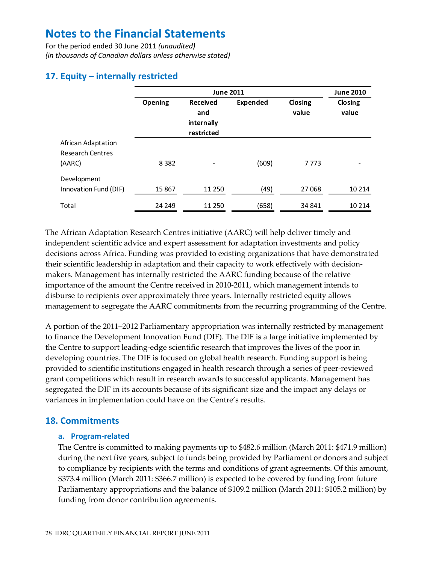For the period ended 30 June 2011 *(unaudited) (in thousands of Canadian dollars unless otherwise stated)*

# **17. Equity – internally restricted**

|                                                         |         | <b>June 2010</b>                                   |                 |                  |                  |
|---------------------------------------------------------|---------|----------------------------------------------------|-----------------|------------------|------------------|
|                                                         | Opening | <b>Received</b><br>and<br>internally<br>restricted | <b>Expended</b> | Closing<br>value | Closing<br>value |
| African Adaptation<br><b>Research Centres</b><br>(AARC) | 8 3 8 2 |                                                    | (609)           | 7 7 7 3          |                  |
| Development<br>Innovation Fund (DIF)                    | 15 867  | 11 250                                             | (49)            | 27 068           | 10 2 14          |
| Total                                                   | 24 24 9 | 11 250                                             | (658)           | 34 841           | 10 2 14          |

The African Adaptation Research Centres initiative (AARC) will help deliver timely and independent scientific advice and expert assessment for adaptation investments and policy decisions across Africa. Funding was provided to existing organizations that have demonstrated their scientific leadership in adaptation and their capacity to work effectively with decision‐ makers. Management has internally restricted the AARC funding because of the relative importance of the amount the Centre received in 2010‐2011, which management intends to disburse to recipients over approximately three years. Internally restricted equity allows management to segregate the AARC commitments from the recurring programming of the Centre.

A portion of the 2011 ̶2012 Parliamentary appropriation was internally restricted by management to finance the Development Innovation Fund (DIF). The DIF is a large initiative implemented by the Centre to support leading‐edge scientific research that improves the lives of the poor in developing countries. The DIF is focused on global health research. Funding support is being provided to scientific institutions engaged in health research through a series of peer‐reviewed grant competitions which result in research awards to successful applicants. Management has segregated the DIF in its accounts because of its significant size and the impact any delays or variances in implementation could have on the Centre's results.

# **18. Commitments**

### **a. Program‐related**

The Centre is committed to making payments up to \$482.6 million (March 2011: \$471.9 million) during the next five years, subject to funds being provided by Parliament or donors and subject to compliance by recipients with the terms and conditions of grant agreements. Of this amount, \$373.4 million (March 2011: \$366.7 million) is expected to be covered by funding from future Parliamentary appropriations and the balance of \$109.2 million (March 2011: \$105.2 million) by funding from donor contribution agreements.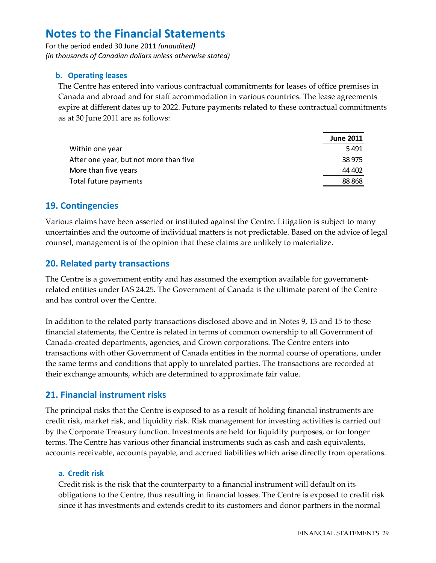For the period ended 30 June 2011 (unaudited) (in thousands of Canadian dollars unless otherwise stated)

### b. Operating leases

The Centre has entered into various contractual commitments for leases of office premises in Canada and abroad and for staff accommodation in various countries. The lease agreements expire at different dates up to 2022. Future payments related to these contractual commitments as at 30 June 2011 are as follows:

|                                        | <b>June 2011</b> |
|----------------------------------------|------------------|
| Within one year                        | 5491             |
| After one year, but not more than five | 38975            |
| More than five years                   | 44 402           |
| Total future payments                  | 88868            |

### **19. Contingencies**

Various claims have been asserted or instituted against the Centre. Litigation is subject to many uncertainties and the outcome of individual matters is not predictable. Based on the advice of legal counsel, management is of the opinion that these claims are unlikely to materialize.

### **20. Related party transactions**

The Centre is a government entity and has assumed the exemption available for governmentrelated entities under IAS 24.25. The Government of Canada is the ultimate parent of the Centre and has control over the Centre.

In addition to the related party transactions disclosed above and in Notes 9, 13 and 15 to these financial statements, the Centre is related in terms of common ownership to all Government of Canada-created departments, agencies, and Crown corporations. The Centre enters into transactions with other Government of Canada entities in the normal course of operations, under the same terms and conditions that apply to unrelated parties. The transactions are recorded at their exchange amounts, which are determined to approximate fair value.

# 21. Financial instrument risks

The principal risks that the Centre is exposed to as a result of holding financial instruments are credit risk, market risk, and liquidity risk. Risk management for investing activities is carried out by the Corporate Treasury function. Investments are held for liquidity purposes, or for longer terms. The Centre has various other financial instruments such as cash and cash equivalents, accounts receivable, accounts payable, and accrued liabilities which arise directly from operations.

### a. Credit risk

Credit risk is the risk that the counterparty to a financial instrument will default on its obligations to the Centre, thus resulting in financial losses. The Centre is exposed to credit risk since it has investments and extends credit to its customers and donor partners in the normal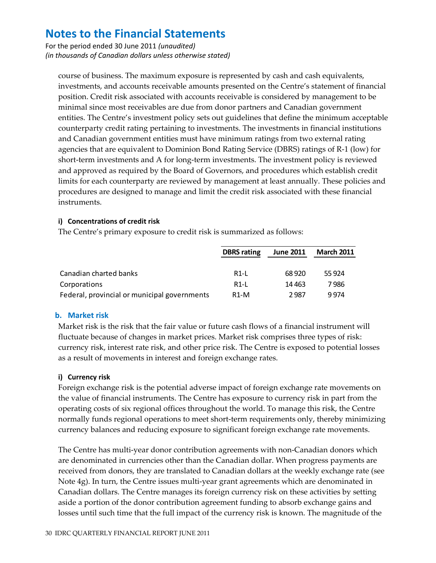For the period ended 30 June 2011 *(unaudited) (in thousands of Canadian dollars unless otherwise stated)*

course of business. The maximum exposure is represented by cash and cash equivalents, investments, and accounts receivable amounts presented on the Centre's statement of financial position. Credit risk associated with accounts receivable is considered by management to be minimal since most receivables are due from donor partners and Canadian government entities. The Centre's investment policy sets out guidelines that define the minimum acceptable counterparty credit rating pertaining to investments. The investments in financial institutions and Canadian government entities must have minimum ratings from two external rating agencies that are equivalent to Dominion Bond Rating Service (DBRS) ratings of R‐1 (low) for short-term investments and A for long-term investments. The investment policy is reviewed and approved as required by the Board of Governors, and procedures which establish credit limits for each counterparty are reviewed by management at least annually. These policies and procedures are designed to manage and limit the credit risk associated with these financial instruments.

### **i) Concentrations of credit risk**

The Centre's primary exposure to credit risk is summarized as follows:

|                                              | <b>DBRS</b> rating | <b>June 2011</b> | <b>March 2011</b> |
|----------------------------------------------|--------------------|------------------|-------------------|
| Canadian charted banks                       | <b>R1-L</b>        | 68 9 20          | 55 924            |
| Corporations                                 | <b>R1-L</b>        | 14 4 63          | 7 986             |
| Federal, provincial or municipal governments | R1-M               | 2987             | 9 9 7 4           |

### **b. Market risk**

Market risk is the risk that the fair value or future cash flows of a financial instrument will fluctuate because of changes in market prices. Market risk comprises three types of risk: currency risk, interest rate risk, and other price risk. The Centre is exposed to potential losses as a result of movements in interest and foreign exchange rates.

### **i) Currency risk**

Foreign exchange risk is the potential adverse impact of foreign exchange rate movements on the value of financial instruments. The Centre has exposure to currency risk in part from the operating costs of six regional offices throughout the world. To manage this risk, the Centre normally funds regional operations to meet short-term requirements only, thereby minimizing currency balances and reducing exposure to significant foreign exchange rate movements.

The Centre has multi-year donor contribution agreements with non-Canadian donors which are denominated in currencies other than the Canadian dollar. When progress payments are received from donors, they are translated to Canadian dollars at the weekly exchange rate (see Note 4g). In turn, the Centre issues multi-year grant agreements which are denominated in Canadian dollars. The Centre manages its foreign currency risk on these activities by setting aside a portion of the donor contribution agreement funding to absorb exchange gains and losses until such time that the full impact of the currency risk is known. The magnitude of the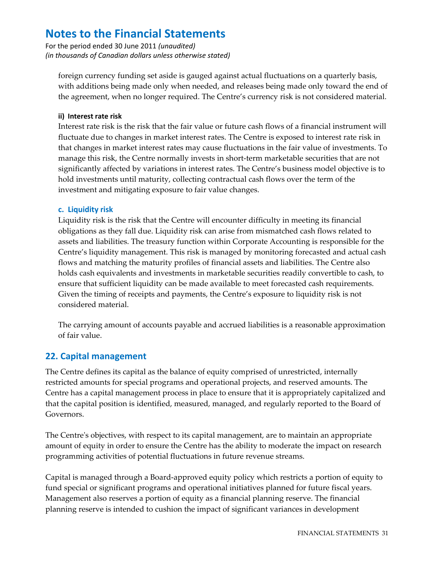For the period ended 30 June 2011 *(unaudited) (in thousands of Canadian dollars unless otherwise stated)*

foreign currency funding set aside is gauged against actual fluctuations on a quarterly basis, with additions being made only when needed, and releases being made only toward the end of the agreement, when no longer required. The Centre's currency risk is not considered material.

#### **ii) Interest rate risk**

Interest rate risk is the risk that the fair value or future cash flows of a financial instrument will fluctuate due to changes in market interest rates. The Centre is exposed to interest rate risk in that changes in market interest rates may cause fluctuations in the fair value of investments. To manage this risk, the Centre normally invests in short-term marketable securities that are not significantly affected by variations in interest rates. The Centre's business model objective is to hold investments until maturity, collecting contractual cash flows over the term of the investment and mitigating exposure to fair value changes.

#### **c. Liquidity risk**

Liquidity risk is the risk that the Centre will encounter difficulty in meeting its financial obligations as they fall due. Liquidity risk can arise from mismatched cash flows related to assets and liabilities. The treasury function within Corporate Accounting is responsible for the Centre's liquidity management. This risk is managed by monitoring forecasted and actual cash flows and matching the maturity profiles of financial assets and liabilities. The Centre also holds cash equivalents and investments in marketable securities readily convertible to cash, to ensure that sufficient liquidity can be made available to meet forecasted cash requirements. Given the timing of receipts and payments, the Centre's exposure to liquidity risk is not considered material.

The carrying amount of accounts payable and accrued liabilities is a reasonable approximation of fair value.

# **22. Capital management**

The Centre defines its capital as the balance of equity comprised of unrestricted, internally restricted amounts for special programs and operational projects, and reserved amounts. The Centre has a capital management process in place to ensure that it is appropriately capitalized and that the capital position is identified, measured, managed, and regularly reported to the Board of Governors.

The Centre's objectives, with respect to its capital management, are to maintain an appropriate amount of equity in order to ensure the Centre has the ability to moderate the impact on research programming activities of potential fluctuations in future revenue streams.

Capital is managed through a Board‐approved equity policy which restricts a portion of equity to fund special or significant programs and operational initiatives planned for future fiscal years. Management also reserves a portion of equity as a financial planning reserve. The financial planning reserve is intended to cushion the impact of significant variances in development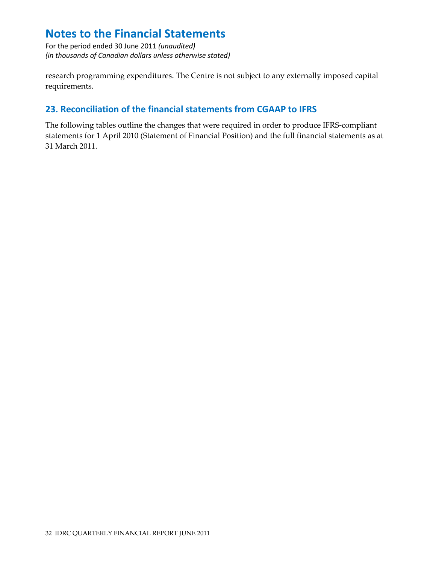For the period ended 30 June 2011 *(unaudited) (in thousands of Canadian dollars unless otherwise stated)*

research programming expenditures. The Centre is not subject to any externally imposed capital requirements.

# **23. Reconciliation of the financial statements from CGAAP to IFRS**

The following tables outline the changes that were required in order to produce IFRS‐compliant statements for 1 April 2010 (Statement of Financial Position) and the full financial statements as at 31 March 2011.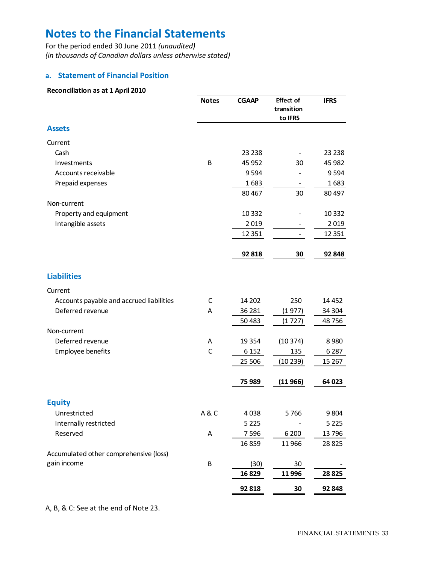For the period ended 30 June 2011 *(unaudited) (in thousands of Canadian dollars unless otherwise stated)*

#### **a. Statement of Financial Position**

| Reconciliation as at 1 April 2010        |              |              |                                           |             |
|------------------------------------------|--------------|--------------|-------------------------------------------|-------------|
|                                          | <b>Notes</b> | <b>CGAAP</b> | <b>Effect of</b><br>transition<br>to IFRS | <b>IFRS</b> |
| <b>Assets</b>                            |              |              |                                           |             |
| Current                                  |              |              |                                           |             |
| Cash                                     |              | 23 2 38      |                                           | 23 2 38     |
| Investments                              | B            | 45 952       | 30                                        | 45 982      |
| Accounts receivable                      |              | 9594         |                                           | 9594        |
| Prepaid expenses                         |              | 1683         |                                           | 1683        |
|                                          |              | 80 4 67      | 30                                        | 80 497      |
| Non-current                              |              |              |                                           |             |
| Property and equipment                   |              | 10 3 32      |                                           | 10 3 32     |
| Intangible assets                        |              | 2019         |                                           | 2019        |
|                                          |              | 12 3 5 1     | $\overline{\phantom{0}}$                  | 12 3 51     |
|                                          |              |              |                                           |             |
|                                          |              | 92 818       | 30                                        | 92 848      |
| <b>Liabilities</b>                       |              |              |                                           |             |
| Current                                  |              |              |                                           |             |
| Accounts payable and accrued liabilities | C            | 14 202       | 250                                       | 14 4 52     |
| Deferred revenue                         | A            | 36 281       | (1977)                                    | 34 304      |
|                                          |              | 50 4 83      | (1727)                                    | 48756       |
| Non-current                              |              |              |                                           |             |
| Deferred revenue                         | Α            | 19 3 54      | (10374)                                   | 8980        |
| Employee benefits                        | C            | 6 1 5 2      | 135                                       | 6 2 8 7     |
|                                          |              | 25 506       | (10 239)                                  | 15 2 67     |
|                                          |              | 75 989       | (11966)                                   | 64 0 23     |
| <b>Equity</b>                            |              |              |                                           |             |
| Unrestricted                             | A&C          | 4038         | 5766                                      | 9804        |
| Internally restricted                    |              | 5 2 2 5      |                                           | 5 2 2 5     |
| Reserved                                 | Α            | 7596         | 6 200                                     | 13796       |
|                                          |              | 16859        | 11966                                     | 28 8 25     |
| Accumulated other comprehensive (loss)   |              |              |                                           |             |
| gain income                              | B            | (30)         | 30                                        |             |
|                                          |              | 16829        | 11996                                     | 28 8 25     |
|                                          |              | 92 818       | 30                                        | 92 848      |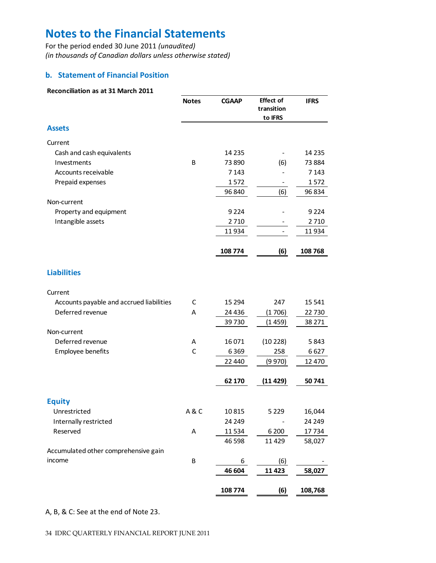For the period ended 30 June 2011 *(unaudited) (in thousands of Canadian dollars unless otherwise stated)*

### **b. Statement of Financial Position**

#### **Reconciliation as at 31 March 2011**

|                                          | <b>Notes</b> | <b>CGAAP</b> | <b>Effect of</b><br>transition<br>to IFRS | <b>IFRS</b> |
|------------------------------------------|--------------|--------------|-------------------------------------------|-------------|
| <b>Assets</b>                            |              |              |                                           |             |
| Current                                  |              |              |                                           |             |
| Cash and cash equivalents                |              | 14 2 35      |                                           | 14 2 35     |
| Investments                              | B            | 73 890       | (6)                                       | 73884       |
| Accounts receivable                      |              | 7 1 4 3      |                                           | 7 1 4 3     |
| Prepaid expenses                         |              | 1572         |                                           | 1572        |
|                                          |              | 96 840       | (6)                                       | 96 834      |
| Non-current                              |              |              |                                           |             |
| Property and equipment                   |              | 9 2 2 4      |                                           | 9 2 2 4     |
| Intangible assets                        |              | 2710         |                                           | 2710        |
|                                          |              | 11934        |                                           | 11934       |
|                                          |              | 108774       | (6)                                       | 108768      |
| <b>Liabilities</b>                       |              |              |                                           |             |
| Current                                  |              |              |                                           |             |
| Accounts payable and accrued liabilities | C            | 15 294       | 247                                       | 15 541      |
| Deferred revenue                         | A            | 24 4 36      | (1706)                                    | 22 7 30     |
|                                          |              | 39730        | (1 459)                                   | 38 271      |
| Non-current                              |              |              |                                           |             |
| Deferred revenue                         | A            | 16 0 71      | (10 228)                                  | 5843        |
| Employee benefits                        | $\mathsf C$  | 6369         | 258                                       | 6627        |
|                                          |              | 22 440       | (9970)                                    | 12 470      |
|                                          |              | 62 170       | (11429)                                   | 50741       |
| <b>Equity</b>                            |              |              |                                           |             |
| Unrestricted                             | A&C          | 10815        | 5 2 2 9                                   | 16,044      |
| Internally restricted                    |              | 24 249       |                                           | 24 249      |
| Reserved                                 | A            | 11534        | 6 200                                     | 17734       |
|                                          |              | 46 5 98      | 11 4 29                                   | 58,027      |
| Accumulated other comprehensive gain     |              |              |                                           |             |
| income                                   | B            | 6            | (6)                                       |             |
|                                          |              | 46 604       | 11 4 23                                   | 58,027      |
|                                          |              | 108 774      | (6)                                       | 108,768     |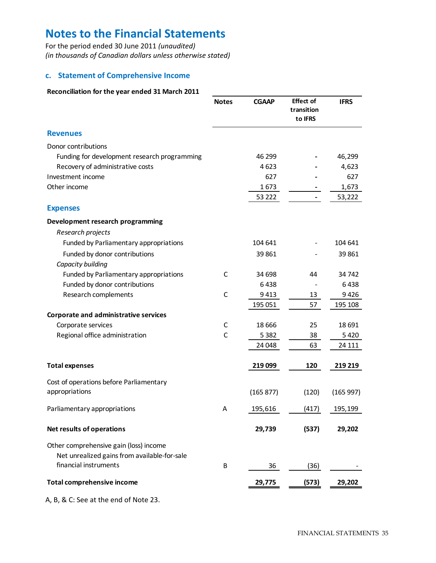For the period ended 30 June 2011 *(unaudited) (in thousands of Canadian dollars unless otherwise stated)*

### **c. Statement of Comprehensive Income**

#### **Reconciliation for the year ended 31 March 2011**

|                                                                                        | <b>Notes</b> | <b>CGAAP</b> | <b>Effect of</b><br>transition<br>to IFRS | <b>IFRS</b> |
|----------------------------------------------------------------------------------------|--------------|--------------|-------------------------------------------|-------------|
| <b>Revenues</b>                                                                        |              |              |                                           |             |
| Donor contributions                                                                    |              |              |                                           |             |
| Funding for development research programming                                           |              | 46 299       |                                           | 46,299      |
| Recovery of administrative costs                                                       |              | 4623         |                                           | 4,623       |
| Investment income                                                                      |              | 627          |                                           | 627         |
| Other income                                                                           |              | 1673         |                                           | 1,673       |
|                                                                                        |              | 53 222       |                                           | 53,222      |
| <b>Expenses</b>                                                                        |              |              |                                           |             |
| Development research programming                                                       |              |              |                                           |             |
| Research projects                                                                      |              |              |                                           |             |
| Funded by Parliamentary appropriations                                                 |              | 104 641      |                                           | 104 641     |
| Funded by donor contributions                                                          |              | 39861        |                                           | 39 861      |
| Capacity building                                                                      |              |              |                                           |             |
| Funded by Parliamentary appropriations                                                 | C            | 34 698       | 44                                        | 34 742      |
| Funded by donor contributions                                                          |              | 6438         |                                           | 6438        |
| Research complements                                                                   | C            | 9413         | 13                                        | 9426        |
|                                                                                        |              | 195 051      | 57                                        | 195 108     |
| Corporate and administrative services                                                  |              |              |                                           |             |
| Corporate services                                                                     | C            | 18 6 66      | 25                                        | 18 691      |
| Regional office administration                                                         | C            | 5 3 8 2      | 38                                        | 5420        |
|                                                                                        |              | 24 048       | 63                                        | 24 111      |
| <b>Total expenses</b>                                                                  |              | 219 099      | 120                                       | 219 219     |
| Cost of operations before Parliamentary                                                |              |              |                                           |             |
| appropriations                                                                         |              | (165 877)    | (120)                                     | (165997)    |
| Parliamentary appropriations                                                           | A            | 195,616      | (417)                                     | 195,199     |
| Net results of operations                                                              |              | 29,739       | (537)                                     | 29,202      |
| Other comprehensive gain (loss) income<br>Net unrealized gains from available-for-sale |              |              |                                           |             |
| financial instruments                                                                  | B            | 36           | (36)                                      |             |
| Total comprehensive income                                                             |              | 29,775       | (573)                                     | 29,202      |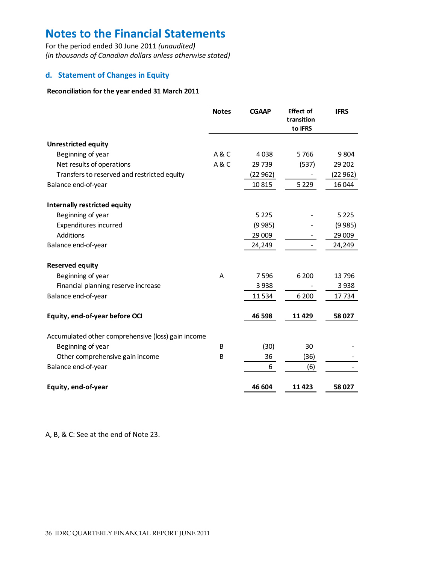For the period ended 30 June 2011 *(unaudited) (in thousands of Canadian dollars unless otherwise stated)*

### **d. Statement of Changes in Equity**

#### **Reconciliation for the year ended 31 March 2011**

|                                                    | <b>Notes</b> | <b>CGAAP</b> | <b>Effect of</b><br>transition<br>to IFRS | <b>IFRS</b> |
|----------------------------------------------------|--------------|--------------|-------------------------------------------|-------------|
| <b>Unrestricted equity</b>                         |              |              |                                           |             |
| Beginning of year                                  | A&C          | 4038         | 5766                                      | 9 8 0 4     |
| Net results of operations                          | A&C          | 29 739       | (537)                                     | 29 202      |
| Transfers to reserved and restricted equity        |              | (22 962)     |                                           | (22962)     |
| Balance end-of-year                                |              | 10815        | 5 2 2 9                                   | 16 044      |
| Internally restricted equity                       |              |              |                                           |             |
| Beginning of year                                  |              | 5 2 2 5      |                                           | 5 2 2 5     |
| Expenditures incurred                              |              | (9985)       |                                           | (9985)      |
| Additions                                          |              | 29 009       |                                           | 29 009      |
| Balance end-of-year                                |              | 24,249       |                                           | 24,249      |
| <b>Reserved equity</b>                             |              |              |                                           |             |
| Beginning of year                                  | A            | 7596         | 6 200                                     | 13796       |
| Financial planning reserve increase                |              | 3938         |                                           | 3938        |
| Balance end-of-year                                |              | 11534        | 6 200                                     | 17734       |
| Equity, end-of-year before OCI                     |              | 46 598       | 11429                                     | 58 027      |
| Accumulated other comprehensive (loss) gain income |              |              |                                           |             |
| Beginning of year                                  | B            | (30)         | 30                                        |             |
| Other comprehensive gain income                    | B            | 36           | (36)                                      |             |
| Balance end-of-year                                |              | 6            | (6)                                       |             |
| Equity, end-of-year                                |              | 46 604       | 11 4 23                                   | 58 027      |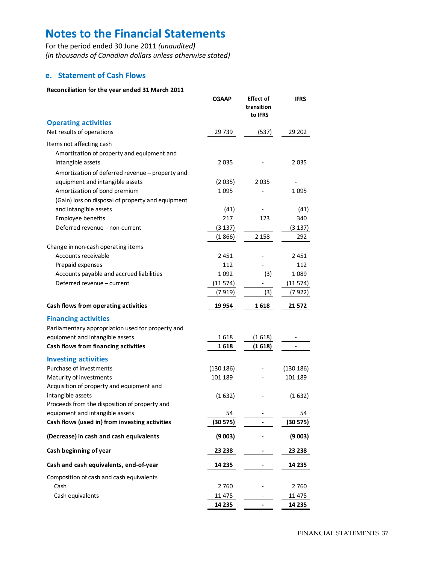For the period ended 30 June 2011 *(unaudited) (in thousands of Canadian dollars unless otherwise stated)*

#### **e. Statement of Cash Flows**

#### **Reconciliation for the year ended 31 March 2011**

|                                                                                             | <b>CGAAP</b> | <b>Effect of</b><br>transition<br>to IFRS | <b>IFRS</b> |
|---------------------------------------------------------------------------------------------|--------------|-------------------------------------------|-------------|
| <b>Operating activities</b>                                                                 |              |                                           |             |
| Net results of operations                                                                   | 29739        | (537)                                     | 29 202      |
| Items not affecting cash<br>Amortization of property and equipment and<br>intangible assets | 2035         |                                           | 2035        |
| Amortization of deferred revenue - property and                                             |              |                                           |             |
| equipment and intangible assets                                                             | (2035)       | 2035                                      |             |
| Amortization of bond premium<br>(Gain) loss on disposal of property and equipment           | 1095         |                                           | 1 095       |
| and intangible assets                                                                       | (41)         |                                           | (41)        |
| Employee benefits                                                                           | 217          | 123                                       | 340         |
| Deferred revenue - non-current                                                              | (3 137)      |                                           | (3 137)     |
|                                                                                             | (1866)       | 2 1 5 8                                   | 292         |
| Change in non-cash operating items                                                          |              |                                           |             |
| Accounts receivable                                                                         | 2 4 5 1      |                                           | 2451        |
| Prepaid expenses                                                                            | 112          |                                           | 112         |
| Accounts payable and accrued liabilities                                                    | 1092         | (3)                                       | 1 089       |
| Deferred revenue - current                                                                  | (11574)      |                                           | (11574)     |
|                                                                                             | (7919)       | (3)                                       | (7 922)     |
| Cash flows from operating activities                                                        | 19954        | 1 618                                     | 21 572      |
| <b>Financing activities</b>                                                                 |              |                                           |             |
| Parliamentary appropriation used for property and                                           |              |                                           |             |
| equipment and intangible assets                                                             | 1618         | (1618)                                    |             |
| Cash flows from financing activities                                                        | 1 618        | (1618)                                    |             |
| <b>Investing activities</b>                                                                 |              |                                           |             |
| Purchase of investments                                                                     | (130 186)    |                                           | (130 186)   |
| Maturity of investments                                                                     | 101 189      |                                           | 101 189     |
| Acquisition of property and equipment and                                                   |              |                                           |             |
| intangible assets<br>Proceeds from the disposition of property and                          | (1632)       |                                           | (1632)      |
| equipment and intangible assets                                                             | 54           |                                           | 54          |
| Cash flows (used in) from investing activities                                              | (30 575)     |                                           | (30 575)    |
| (Decrease) in cash and cash equivalents                                                     | (9003)       |                                           | (9 003)     |
| Cash beginning of year                                                                      | 23 238       |                                           | 23 238      |
| Cash and cash equivalents, end-of-year                                                      | 14 235       |                                           | 14 235      |
| Composition of cash and cash equivalents                                                    |              |                                           |             |
| Cash                                                                                        | 2760         |                                           | 2760        |
| Cash equivalents                                                                            | 11 475       |                                           | 11 475      |
|                                                                                             | 14 2 35      |                                           | 14 235      |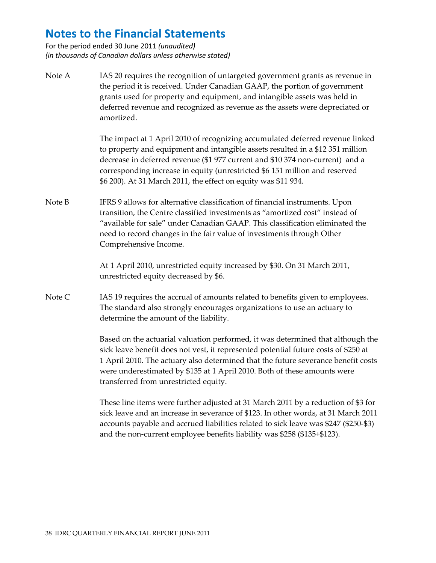For the period ended 30 June 2011 *(unaudited) (in thousands of Canadian dollars unless otherwise stated)*

Note A IAS 20 requires the recognition of untargeted government grants as revenue in the period it is received. Under Canadian GAAP, the portion of government grants used for property and equipment, and intangible assets was held in deferred revenue and recognized as revenue as the assets were depreciated or amortized.

> The impact at 1 April 2010 of recognizing accumulated deferred revenue linked to property and equipment and intangible assets resulted in a \$12 351 million decrease in deferred revenue (\$1 977 current and \$10 374 non‐current) and a corresponding increase in equity (unrestricted \$6 151 million and reserved \$6 200). At 31 March 2011, the effect on equity was \$11 934.

Note B IFRS 9 allows for alternative classification of financial instruments. Upon transition, the Centre classified investments as "amortized cost" instead of "available for sale" under Canadian GAAP. This classification eliminated the need to record changes in the fair value of investments through Other Comprehensive Income.

> At 1 April 2010, unrestricted equity increased by \$30. On 31 March 2011, unrestricted equity decreased by \$6.

Note C IAS 19 requires the accrual of amounts related to benefits given to employees. The standard also strongly encourages organizations to use an actuary to determine the amount of the liability.

> Based on the actuarial valuation performed, it was determined that although the sick leave benefit does not vest, it represented potential future costs of \$250 at 1 April 2010. The actuary also determined that the future severance benefit costs were underestimated by \$135 at 1 April 2010. Both of these amounts were transferred from unrestricted equity.

> These line items were further adjusted at 31 March 2011 by a reduction of \$3 for sick leave and an increase in severance of \$123. In other words, at 31 March 2011 accounts payable and accrued liabilities related to sick leave was \$247 (\$250‐\$3) and the non-current employee benefits liability was \$258 (\$135+\$123).